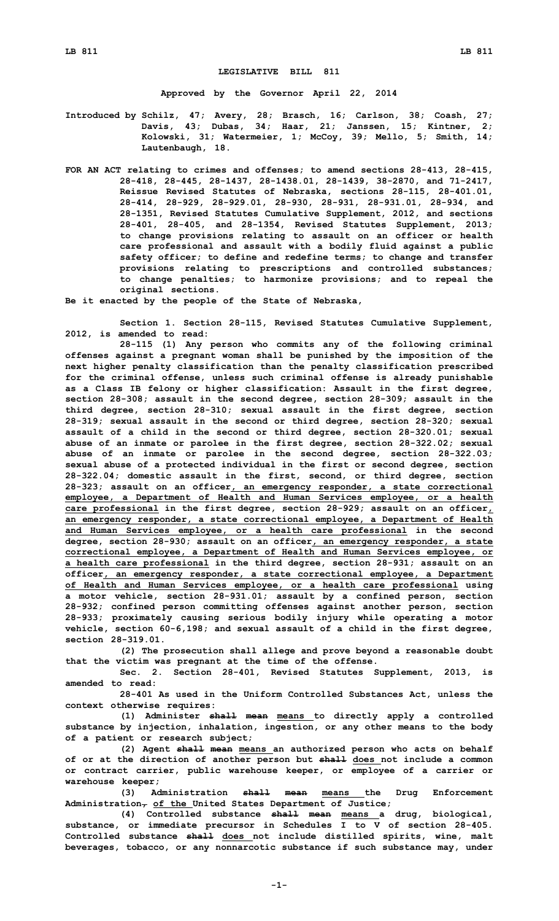## **LEGISLATIVE BILL 811**

**Approved by the Governor April 22, 2014**

**Introduced by Schilz, 47; Avery, 28; Brasch, 16; Carlson, 38; Coash, 27; Davis, 43; Dubas, 34; Haar, 21; Janssen, 15; Kintner, 2; Kolowski, 31; Watermeier, 1; McCoy, 39; Mello, 5; Smith, 14; Lautenbaugh, 18.**

**FOR AN ACT relating to crimes and offenses; to amend sections 28-413, 28-415, 28-418, 28-445, 28-1437, 28-1438.01, 28-1439, 38-2870, and 71-2417, Reissue Revised Statutes of Nebraska, sections 28-115, 28-401.01, 28-414, 28-929, 28-929.01, 28-930, 28-931, 28-931.01, 28-934, and 28-1351, Revised Statutes Cumulative Supplement, 2012, and sections 28-401, 28-405, and 28-1354, Revised Statutes Supplement, 2013; to change provisions relating to assault on an officer or health care professional and assault with <sup>a</sup> bodily fluid against <sup>a</sup> public safety officer; to define and redefine terms; to change and transfer provisions relating to prescriptions and controlled substances; to change penalties; to harmonize provisions; and to repeal the original sections.**

**Be it enacted by the people of the State of Nebraska,**

**Section 1. Section 28-115, Revised Statutes Cumulative Supplement, 2012, is amended to read:**

**28-115 (1) Any person who commits any of the following criminal offenses against <sup>a</sup> pregnant woman shall be punished by the imposition of the next higher penalty classification than the penalty classification prescribed for the criminal offense, unless such criminal offense is already punishable as <sup>a</sup> Class IB felony or higher classification: Assault in the first degree, section 28-308; assault in the second degree, section 28-309; assault in the third degree, section 28-310; sexual assault in the first degree, section 28-319; sexual assault in the second or third degree, section 28-320; sexual assault of <sup>a</sup> child in the second or third degree, section 28-320.01; sexual abuse of an inmate or parolee in the first degree, section 28-322.02; sexual abuse of an inmate or parolee in the second degree, section 28-322.03; sexual abuse of <sup>a</sup> protected individual in the first or second degree, section 28-322.04; domestic assault in the first, second, or third degree, section 28-323; assault on an officer, an emergency responder, <sup>a</sup> state correctional employee, <sup>a</sup> Department of Health and Human Services employee, or <sup>a</sup> health care professional in the first degree, section 28-929; assault on an officer, an emergency responder, <sup>a</sup> state correctional employee, <sup>a</sup> Department of Health and Human Services employee, or <sup>a</sup> health care professional in the second degree, section 28-930; assault on an officer, an emergency responder, <sup>a</sup> state correctional employee, <sup>a</sup> Department of Health and Human Services employee, or <sup>a</sup> health care professional in the third degree, section 28-931; assault on an officer, an emergency responder, <sup>a</sup> state correctional employee, <sup>a</sup> Department of Health and Human Services employee, or <sup>a</sup> health care professional using <sup>a</sup> motor vehicle, section 28-931.01; assault by <sup>a</sup> confined person, section 28-932; confined person committing offenses against another person, section 28-933; proximately causing serious bodily injury while operating <sup>a</sup> motor vehicle, section 60-6,198; and sexual assault of <sup>a</sup> child in the first degree, section 28-319.01.**

**(2) The prosecution shall allege and prove beyond <sup>a</sup> reasonable doubt that the victim was pregnant at the time of the offense.**

**Sec. 2. Section 28-401, Revised Statutes Supplement, 2013, is amended to read:**

**28-401 As used in the Uniform Controlled Substances Act, unless the context otherwise requires:**

**(1) Administer shall mean means to directly apply <sup>a</sup> controlled substance by injection, inhalation, ingestion, or any other means to the body of <sup>a</sup> patient or research subject;**

**(2) Agent shall mean means an authorized person who acts on behalf of or at the direction of another person but shall does not include <sup>a</sup> common or contract carrier, public warehouse keeper, or employee of <sup>a</sup> carrier or warehouse keeper;**

**(3) Administration shall mean means the Drug Enforcement Administration, of the United States Department of Justice;**

**(4) Controlled substance shall mean means <sup>a</sup> drug, biological, substance, or immediate precursor in Schedules <sup>I</sup> to <sup>V</sup> of section 28-405. Controlled substance shall does not include distilled spirits, wine, malt beverages, tobacco, or any nonnarcotic substance if such substance may, under**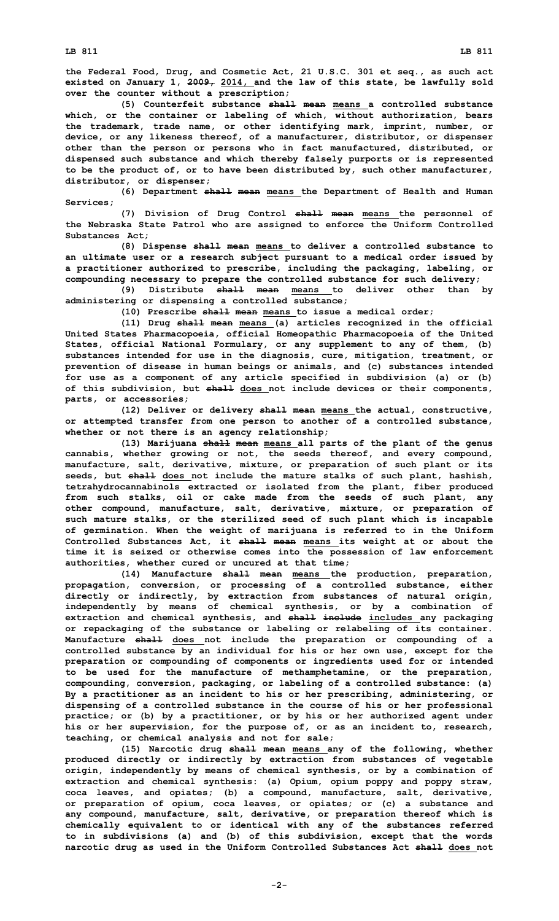**the Federal Food, Drug, and Cosmetic Act, 21 U.S.C. 301 et seq., as such act existed on January 1, 2009, 2014, and the law of this state, be lawfully sold over the counter without <sup>a</sup> prescription;**

**(5) Counterfeit substance shall mean means <sup>a</sup> controlled substance which, or the container or labeling of which, without authorization, bears the trademark, trade name, or other identifying mark, imprint, number, or device, or any likeness thereof, of <sup>a</sup> manufacturer, distributor, or dispenser other than the person or persons who in fact manufactured, distributed, or dispensed such substance and which thereby falsely purports or is represented to be the product of, or to have been distributed by, such other manufacturer, distributor, or dispenser;**

**(6) Department shall mean means the Department of Health and Human Services;**

**(7) Division of Drug Control shall mean means the personnel of the Nebraska State Patrol who are assigned to enforce the Uniform Controlled Substances Act;**

**(8) Dispense shall mean means to deliver <sup>a</sup> controlled substance to an ultimate user or <sup>a</sup> research subject pursuant to <sup>a</sup> medical order issued by <sup>a</sup> practitioner authorized to prescribe, including the packaging, labeling, or compounding necessary to prepare the controlled substance for such delivery;**

**(9) Distribute shall mean means to deliver other than by administering or dispensing <sup>a</sup> controlled substance;**

**(10) Prescribe shall mean means to issue <sup>a</sup> medical order;**

**(11) Drug shall mean means (a) articles recognized in the official United States Pharmacopoeia, official Homeopathic Pharmacopoeia of the United States, official National Formulary, or any supplement to any of them, (b) substances intended for use in the diagnosis, cure, mitigation, treatment, or prevention of disease in human beings or animals, and (c) substances intended for use as <sup>a</sup> component of any article specified in subdivision (a) or (b) of this subdivision, but shall does not include devices or their components, parts, or accessories;**

**(12) Deliver or delivery shall mean means the actual, constructive, or attempted transfer from one person to another of <sup>a</sup> controlled substance, whether or not there is an agency relationship;**

**(13) Marijuana shall mean means all parts of the plant of the genus cannabis, whether growing or not, the seeds thereof, and every compound, manufacture, salt, derivative, mixture, or preparation of such plant or its seeds, but shall does not include the mature stalks of such plant, hashish, tetrahydrocannabinols extracted or isolated from the plant, fiber produced from such stalks, oil or cake made from the seeds of such plant, any other compound, manufacture, salt, derivative, mixture, or preparation of such mature stalks, or the sterilized seed of such plant which is incapable of germination. When the weight of marijuana is referred to in the Uniform Controlled Substances Act, it shall mean means its weight at or about the time it is seized or otherwise comes into the possession of law enforcement authorities, whether cured or uncured at that time;**

**(14) Manufacture shall mean means the production, preparation, propagation, conversion, or processing of <sup>a</sup> controlled substance, either directly or indirectly, by extraction from substances of natural origin, independently by means of chemical synthesis, or by <sup>a</sup> combination of extraction and chemical synthesis, and shall include includes any packaging or repackaging of the substance or labeling or relabeling of its container. Manufacture shall does not include the preparation or compounding of <sup>a</sup> controlled substance by an individual for his or her own use, except for the preparation or compounding of components or ingredients used for or intended to be used for the manufacture of methamphetamine, or the preparation, compounding, conversion, packaging, or labeling of <sup>a</sup> controlled substance: (a) By <sup>a</sup> practitioner as an incident to his or her prescribing, administering, or dispensing of <sup>a</sup> controlled substance in the course of his or her professional practice; or (b) by <sup>a</sup> practitioner, or by his or her authorized agent under his or her supervision, for the purpose of, or as an incident to, research, teaching, or chemical analysis and not for sale;**

**(15) Narcotic drug shall mean means any of the following, whether produced directly or indirectly by extraction from substances of vegetable origin, independently by means of chemical synthesis, or by <sup>a</sup> combination of extraction and chemical synthesis: (a) Opium, opium poppy and poppy straw, coca leaves, and opiates; (b) <sup>a</sup> compound, manufacture, salt, derivative, or preparation of opium, coca leaves, or opiates; or (c) <sup>a</sup> substance and any compound, manufacture, salt, derivative, or preparation thereof which is chemically equivalent to or identical with any of the substances referred to in subdivisions (a) and (b) of this subdivision, except that the words narcotic drug as used in the Uniform Controlled Substances Act shall does not**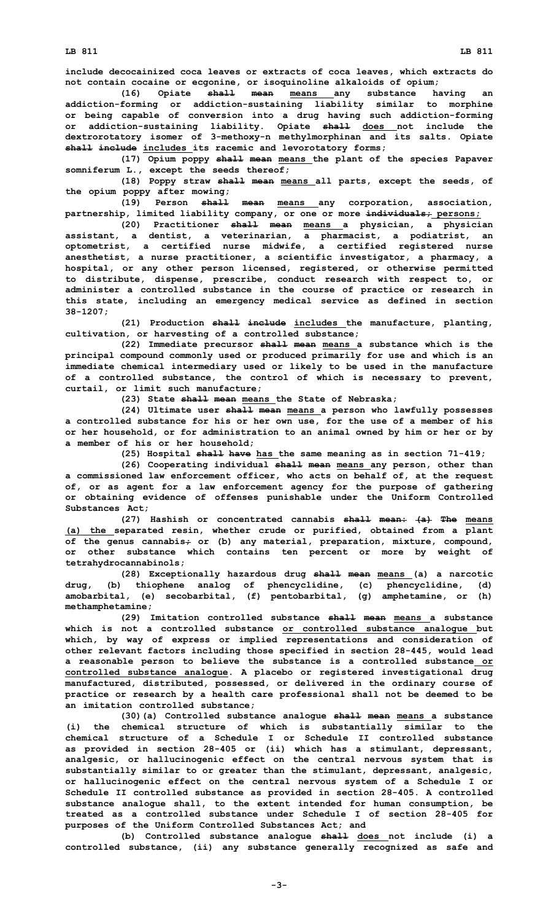**LB 811 LB 811**

**include decocainized coca leaves or extracts of coca leaves, which extracts do not contain cocaine or ecgonine, or isoquinoline alkaloids of opium;**

**(16) Opiate shall mean means any substance having an addiction-forming or addiction-sustaining liability similar to morphine or being capable of conversion into <sup>a</sup> drug having such addiction-forming or addiction-sustaining liability. Opiate shall does not include the dextrorotatory isomer of 3-methoxy-n methylmorphinan and its salts. Opiate shall include includes its racemic and levorotatory forms;**

**(17) Opium poppy shall mean means the plant of the species Papaver somniferum L., except the seeds thereof;**

**(18) Poppy straw shall mean means all parts, except the seeds, of the opium poppy after mowing;**

**(19) Person shall mean means any corporation, association, partnership, limited liability company, or one or more individuals; persons;**

**(20) Practitioner shall mean means <sup>a</sup> physician, <sup>a</sup> physician assistant, <sup>a</sup> dentist, <sup>a</sup> veterinarian, <sup>a</sup> pharmacist, <sup>a</sup> podiatrist, an optometrist, <sup>a</sup> certified nurse midwife, <sup>a</sup> certified registered nurse anesthetist, <sup>a</sup> nurse practitioner, <sup>a</sup> scientific investigator, <sup>a</sup> pharmacy, <sup>a</sup> hospital, or any other person licensed, registered, or otherwise permitted to distribute, dispense, prescribe, conduct research with respect to, or administer <sup>a</sup> controlled substance in the course of practice or research in this state, including an emergency medical service as defined in section 38-1207;**

**(21) Production shall include includes the manufacture, planting, cultivation, or harvesting of <sup>a</sup> controlled substance;**

**(22) Immediate precursor shall mean means <sup>a</sup> substance which is the principal compound commonly used or produced primarily for use and which is an immediate chemical intermediary used or likely to be used in the manufacture of <sup>a</sup> controlled substance, the control of which is necessary to prevent, curtail, or limit such manufacture;**

**(23) State shall mean means the State of Nebraska;**

**(24) Ultimate user shall mean means <sup>a</sup> person who lawfully possesses <sup>a</sup> controlled substance for his or her own use, for the use of <sup>a</sup> member of his or her household, or for administration to an animal owned by him or her or by <sup>a</sup> member of his or her household;**

**(25) Hospital shall have has the same meaning as in section 71-419;**

**(26) Cooperating individual shall mean means any person, other than <sup>a</sup> commissioned law enforcement officer, who acts on behalf of, at the request of, or as agent for <sup>a</sup> law enforcement agency for the purpose of gathering or obtaining evidence of offenses punishable under the Uniform Controlled Substances Act;**

**(27) Hashish or concentrated cannabis shall mean: (a) The means (a) the separated resin, whether crude or purified, obtained from <sup>a</sup> plant of the genus cannabis; or (b) any material, preparation, mixture, compound, or other substance which contains ten percent or more by weight of tetrahydrocannabinols;**

**(28) Exceptionally hazardous drug shall mean means (a) <sup>a</sup> narcotic drug, (b) thiophene analog of phencyclidine, (c) phencyclidine, (d) amobarbital, (e) secobarbital, (f) pentobarbital, (g) amphetamine, or (h) methamphetamine;**

**(29) Imitation controlled substance shall mean means <sup>a</sup> substance which is not <sup>a</sup> controlled substance or controlled substance analogue but which, by way of express or implied representations and consideration of other relevant factors including those specified in section 28-445, would lead <sup>a</sup> reasonable person to believe the substance is <sup>a</sup> controlled substance or controlled substance analogue. A placebo or registered investigational drug manufactured, distributed, possessed, or delivered in the ordinary course of practice or research by <sup>a</sup> health care professional shall not be deemed to be an imitation controlled substance;**

**(30)(a) Controlled substance analogue shall mean means <sup>a</sup> substance (i) the chemical structure of which is substantially similar to the chemical structure of a Schedule I or Schedule II controlled substance as provided in section 28-405 or (ii) which has <sup>a</sup> stimulant, depressant, analgesic, or hallucinogenic effect on the central nervous system that is substantially similar to or greater than the stimulant, depressant, analgesic, or hallucinogenic effect on the central nervous system of <sup>a</sup> Schedule I or Schedule II controlled substance as provided in section 28-405. <sup>A</sup> controlled substance analogue shall, to the extent intended for human consumption, be treated as a controlled substance under Schedule I of section 28-405 for purposes of the Uniform Controlled Substances Act; and**

**(b) Controlled substance analogue shall does not include (i) <sup>a</sup> controlled substance, (ii) any substance generally recognized as safe and**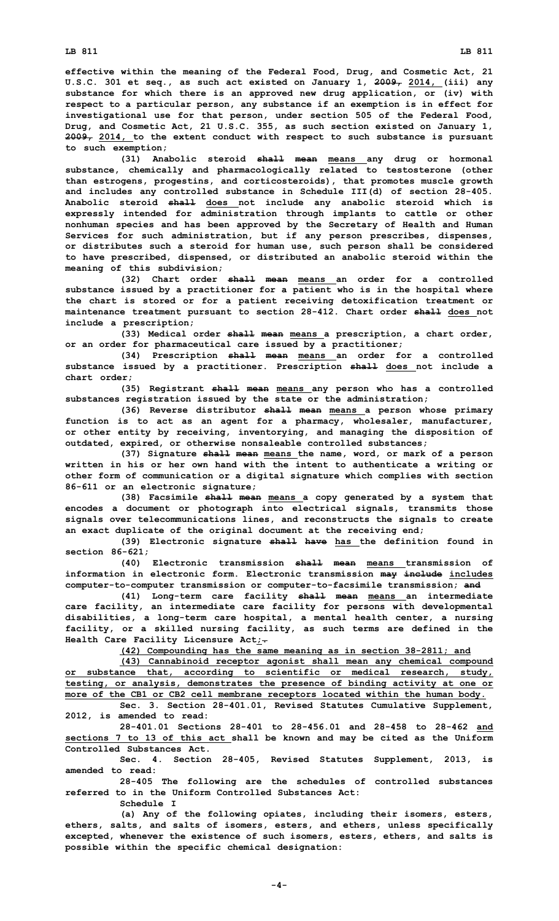**effective within the meaning of the Federal Food, Drug, and Cosmetic Act, 21 U.S.C. 301 et seq., as such act existed on January 1, 2009, 2014, (iii) any substance for which there is an approved new drug application, or (iv) with respect to <sup>a</sup> particular person, any substance if an exemption is in effect for investigational use for that person, under section 505 of the Federal Food, Drug, and Cosmetic Act, 21 U.S.C. 355, as such section existed on January 1, 2009, 2014, to the extent conduct with respect to such substance is pursuant to such exemption;**

**(31) Anabolic steroid shall mean means any drug or hormonal substance, chemically and pharmacologically related to testosterone (other than estrogens, progestins, and corticosteroids), that promotes muscle growth and includes any controlled substance in Schedule III(d) of section 28-405. Anabolic steroid shall does not include any anabolic steroid which is expressly intended for administration through implants to cattle or other nonhuman species and has been approved by the Secretary of Health and Human Services for such administration, but if any person prescribes, dispenses, or distributes such <sup>a</sup> steroid for human use, such person shall be considered to have prescribed, dispensed, or distributed an anabolic steroid within the meaning of this subdivision;**

**(32) Chart order shall mean means an order for <sup>a</sup> controlled substance issued by <sup>a</sup> practitioner for <sup>a</sup> patient who is in the hospital where the chart is stored or for <sup>a</sup> patient receiving detoxification treatment or maintenance treatment pursuant to section 28-412. Chart order shall does not include <sup>a</sup> prescription;**

**(33) Medical order shall mean means <sup>a</sup> prescription, <sup>a</sup> chart order, or an order for pharmaceutical care issued by <sup>a</sup> practitioner;**

**(34) Prescription shall mean means an order for <sup>a</sup> controlled substance issued by <sup>a</sup> practitioner. Prescription shall does not include <sup>a</sup> chart order;**

**(35) Registrant shall mean means any person who has <sup>a</sup> controlled substances registration issued by the state or the administration;**

**(36) Reverse distributor shall mean means <sup>a</sup> person whose primary function is to act as an agent for <sup>a</sup> pharmacy, wholesaler, manufacturer, or other entity by receiving, inventorying, and managing the disposition of outdated, expired, or otherwise nonsaleable controlled substances;**

**(37) Signature shall mean means the name, word, or mark of <sup>a</sup> person written in his or her own hand with the intent to authenticate <sup>a</sup> writing or other form of communication or <sup>a</sup> digital signature which complies with section 86-611 or an electronic signature;**

**(38) Facsimile shall mean means <sup>a</sup> copy generated by <sup>a</sup> system that encodes <sup>a</sup> document or photograph into electrical signals, transmits those signals over telecommunications lines, and reconstructs the signals to create an exact duplicate of the original document at the receiving end;**

**(39) Electronic signature shall have has the definition found in section 86-621;**

**(40) Electronic transmission shall mean means transmission of information in electronic form. Electronic transmission may include includes computer-to-computer transmission or computer-to-facsimile transmission; and**

**(41) Long-term care facility shall mean means an intermediate care facility, an intermediate care facility for persons with developmental disabilities, <sup>a</sup> long-term care hospital, <sup>a</sup> mental health center, <sup>a</sup> nursing facility, or <sup>a</sup> skilled nursing facility, as such terms are defined in the Health Care Facility Licensure Act;.**

**(42) Compounding has the same meaning as in section 38-2811; and**

**(43) Cannabinoid receptor agonist shall mean any chemical compound or substance that, according to scientific or medical research, study, testing, or analysis, demonstrates the presence of binding activity at one or more of the CB1 or CB2 cell membrane receptors located within the human body.**

**Sec. 3. Section 28-401.01, Revised Statutes Cumulative Supplement, 2012, is amended to read:**

**28-401.01 Sections 28-401 to 28-456.01 and 28-458 to 28-462 and sections 7 to 13 of this act shall be known and may be cited as the Uniform Controlled Substances Act.**

**Sec. 4. Section 28-405, Revised Statutes Supplement, 2013, is amended to read:**

**28-405 The following are the schedules of controlled substances referred to in the Uniform Controlled Substances Act:**

**Schedule I**

**(a) Any of the following opiates, including their isomers, esters, ethers, salts, and salts of isomers, esters, and ethers, unless specifically excepted, whenever the existence of such isomers, esters, ethers, and salts is possible within the specific chemical designation:**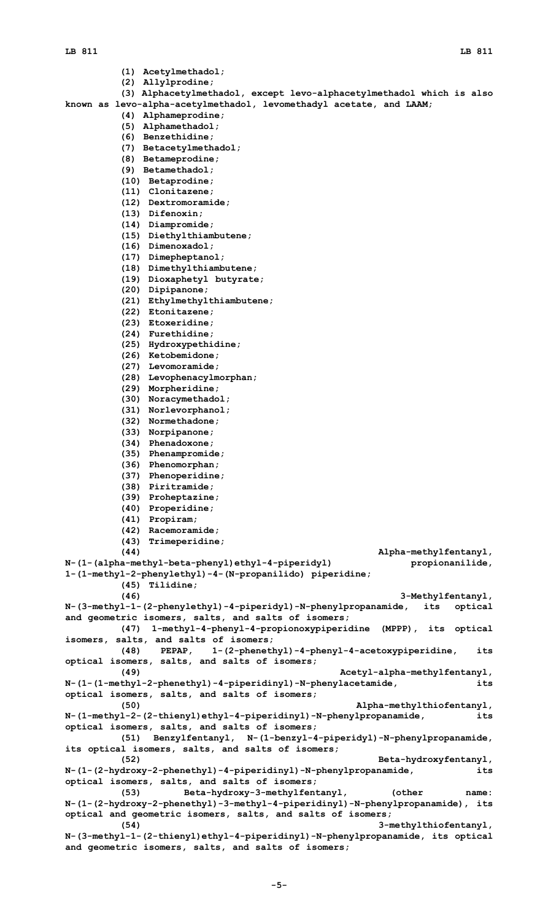- **(1) Acetylmethadol;**
- **(2) Allylprodine;**

**(3) Alphacetylmethadol, except levo-alphacetylmethadol which is also**

- **known as levo-alpha-acetylmethadol, levomethadyl acetate, and LAAM;**
	- **(4) Alphameprodine;**
		- **(5) Alphamethadol;**
		- **(6) Benzethidine;**
		- **(7) Betacetylmethadol;**
		- **(8) Betameprodine;**
		- **(9) Betamethadol;**
		- **(10) Betaprodine;**
		- **(11) Clonitazene;**
		- **(12) Dextromoramide;**
		- **(13) Difenoxin;**
		- **(14) Diampromide;**
		- **(15) Diethylthiambutene;**
		- **(16) Dimenoxadol;**
		- **(17) Dimepheptanol;**
		- **(18) Dimethylthiambutene;**
		- **(19) Dioxaphetyl butyrate;**
		- **(20) Dipipanone;**
		- **(21) Ethylmethylthiambutene;**
		- **(22) Etonitazene;**
		- **(23) Etoxeridine;**
		- **(24) Furethidine;**
		- **(25) Hydroxypethidine;**
		-
		- **(26) Ketobemidone;**
		- **(27) Levomoramide;**
		- **(28) Levophenacylmorphan;**
		- **(29) Morpheridine;**
		- **(30) Noracymethadol;**
		- **(31) Norlevorphanol;**
		- **(32) Normethadone;**
		- **(33) Norpipanone;**
		- **(34) Phenadoxone; (35) Phenampromide;**
		-
		- **(36) Phenomorphan;**
		- **(37) Phenoperidine;**
		- **(38) Piritramide;**
		- **(39) Proheptazine;**
		- **(40) Properidine;**
		- **(41) Propiram;**
		- **(42) Racemoramide;**
		- **(43) Trimeperidine;**
- **(44) Alpha-methylfentanyl, N-(1-(alpha-methyl-beta-phenyl)ethyl-4-piperidyl) propionanilide, 1-(1-methyl-2-phenylethyl)-4-(N-propanilido) piperidine; (45) Tilidine; (46) 3-Methylfentanyl, N-(3-methyl-1-(2-phenylethyl)-4-piperidyl)-N-phenylpropanamide, its optical and geometric isomers, salts, and salts of isomers; (47) 1-methyl-4-phenyl-4-propionoxypiperidine (MPPP), its optical isomers, salts, and salts of isomers; (48) PEPAP, 1-(2-phenethyl)-4-phenyl-4-acetoxypiperidine, its optical isomers, salts, and salts of isomers; (49) Acetyl-alpha-methylfentanyl, N-(1-(1-methyl-2-phenethyl)-4-piperidinyl)-N-phenylacetamide, its optical isomers, salts, and salts of isomers; (50) Alpha-methylthiofentanyl, N-(1-methyl-2-(2-thienyl)ethyl-4-piperidinyl)-N-phenylpropanamide, its optical isomers, salts, and salts of isomers; (51) Benzylfentanyl, N-(1-benzyl-4-piperidyl)-N-phenylpropanamide, its optical isomers, salts, and salts of isomers; (52) Beta-hydroxyfentanyl, N-(1-(2-hydroxy-2-phenethyl)-4-piperidinyl)-N-phenylpropanamide, its optical isomers, salts, and salts of isomers;**

**(53) Beta-hydroxy-3-methylfentanyl, (other name: N-(1-(2-hydroxy-2-phenethyl)-3-methyl-4-piperidinyl)-N-phenylpropanamide), its optical and geometric isomers, salts, and salts of isomers; (54) 3-methylthiofentanyl,**

**N-(3-methyl-1-(2-thienyl)ethyl-4-piperidinyl)-N-phenylpropanamide, its optical and geometric isomers, salts, and salts of isomers;**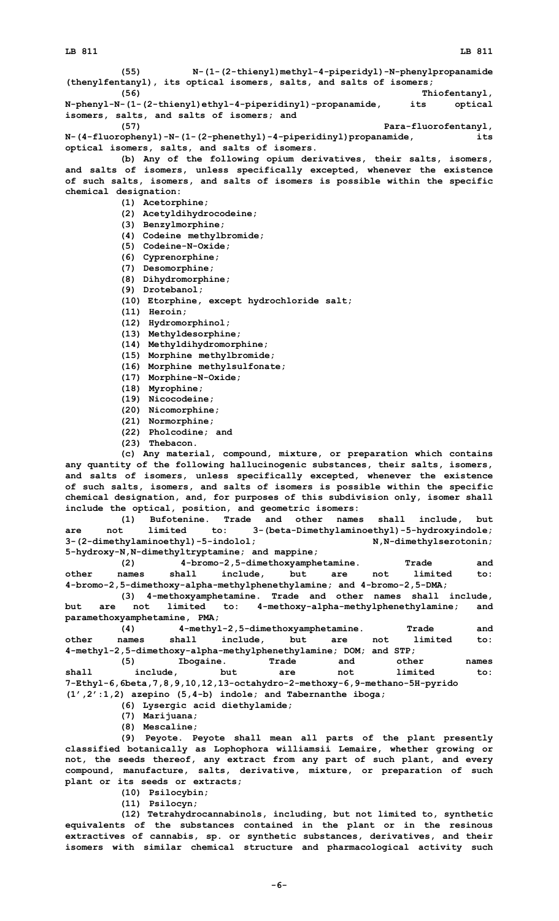**(55) N-(1-(2-thienyl)methyl-4-piperidyl)-N-phenylpropanamide (thenylfentanyl), its optical isomers, salts, and salts of isomers; (56) Thiofentanyl, N-phenyl-N-(1-(2-thienyl)ethyl-4-piperidinyl)-propanamide, its optical isomers, salts, and salts of isomers; and (57) Para-fluorofentanyl, N-(4-fluorophenyl)-N-(1-(2-phenethyl)-4-piperidinyl)propanamide, its optical isomers, salts, and salts of isomers. (b) Any of the following opium derivatives, their salts, isomers, and salts of isomers, unless specifically excepted, whenever the existence of such salts, isomers, and salts of isomers is possible within the specific chemical designation: (1) Acetorphine; (2) Acetyldihydrocodeine; (3) Benzylmorphine; (4) Codeine methylbromide; (5) Codeine-N-Oxide; (6) Cyprenorphine; (7) Desomorphine; (8) Dihydromorphine; (9) Drotebanol; (10) Etorphine, except hydrochloride salt; (11) Heroin; (12) Hydromorphinol; (13) Methyldesorphine; (14) Methyldihydromorphine; (15) Morphine methylbromide; (16) Morphine methylsulfonate; (17) Morphine-N-Oxide; (18) Myrophine; (19) Nicocodeine; (20) Nicomorphine; (21) Normorphine; (22) Pholcodine; and (23) Thebacon. (c) Any material, compound, mixture, or preparation which contains any quantity of the following hallucinogenic substances, their salts, isomers, and salts of isomers, unless specifically excepted, whenever the existence of such salts, isomers, and salts of isomers is possible within the specific chemical designation, and, for purposes of this subdivision only, isomer shall include the optical, position, and geometric isomers: (1) Bufotenine. Trade and other names shall include, but are not limited to: 3-(beta-Dimethylaminoethyl)-5-hydroxyindole;** 3-(2-dimethylaminoethyl)-5-indolol; N,N-dimethylserotonin; **5-hydroxy-N,N-dimethyltryptamine; and mappine; (2) 4-bromo-2,5-dimethoxyamphetamine. Trade and other names shall include, but are not limited to: 4-bromo-2,5-dimethoxy-alpha-methylphenethylamine; and 4-bromo-2,5-DMA; (3) 4-methoxyamphetamine. Trade and other names shall include, but are not limited to: 4-methoxy-alpha-methylphenethylamine; and paramethoxyamphetamine, PMA; (4) 4-methyl-2,5-dimethoxyamphetamine. Trade and other names shall include, but are not limited to: 4-methyl-2,5-dimethoxy-alpha-methylphenethylamine; DOM; and STP; (5) Ibogaine. Trade and other names shall include, but are not limited to: 7-Ethyl-6,6beta,7,8,9,10,12,13-octahydro-2-methoxy-6,9-methano-5H-pyrido (1',2':1,2) azepino (5,4-b) indole; and Tabernanthe iboga; (6) Lysergic acid diethylamide; (7) Marijuana; (8) Mescaline; (9) Peyote. Peyote shall mean all parts of the plant presently classified botanically as Lophophora williamsii Lemaire, whether growing or not, the seeds thereof, any extract from any part of such plant, and every**

**compound, manufacture, salts, derivative, mixture, or preparation of such plant or its seeds or extracts;**

**(10) Psilocybin;**

**(11) Psilocyn;**

**(12) Tetrahydrocannabinols, including, but not limited to, synthetic equivalents of the substances contained in the plant or in the resinous extractives of cannabis, sp. or synthetic substances, derivatives, and their isomers with similar chemical structure and pharmacological activity such**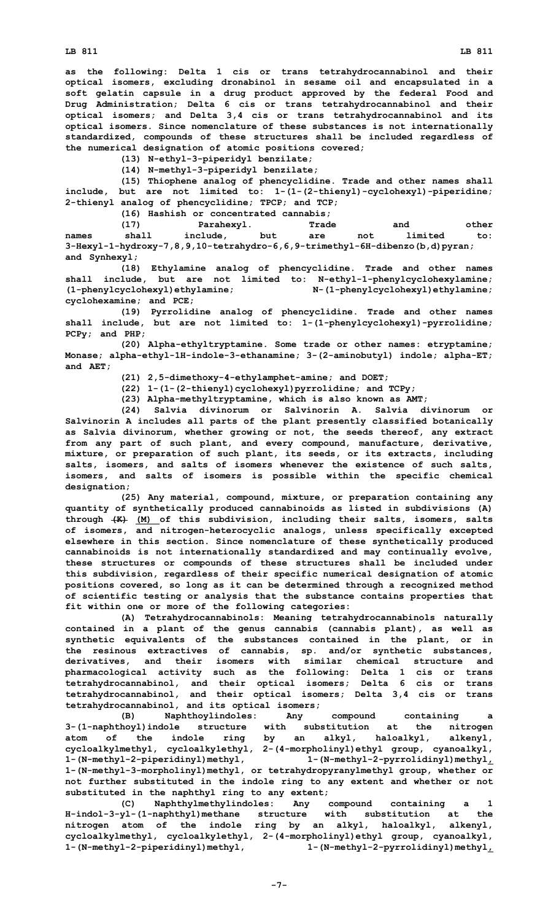**LB 811 LB 811**

**as the following: Delta 1 cis or trans tetrahydrocannabinol and their optical isomers, excluding dronabinol in sesame oil and encapsulated in <sup>a</sup> soft gelatin capsule in <sup>a</sup> drug product approved by the federal Food and Drug Administration; Delta 6 cis or trans tetrahydrocannabinol and their optical isomers; and Delta 3,4 cis or trans tetrahydrocannabinol and its optical isomers. Since nomenclature of these substances is not internationally standardized, compounds of these structures shall be included regardless of the numerical designation of atomic positions covered;**

**(13) N-ethyl-3-piperidyl benzilate;**

**(14) N-methyl-3-piperidyl benzilate;**

**(15) Thiophene analog of phencyclidine. Trade and other names shall include, but are not limited to: 1-(1-(2-thienyl)-cyclohexyl)-piperidine; 2-thienyl analog of phencyclidine; TPCP; and TCP;**

**(16) Hashish or concentrated cannabis;**

**(17) Parahexyl. Trade and other names shall include, but are not limited to: 3-Hexyl-1-hydroxy-7,8,9,10-tetrahydro-6,6,9-trimethyl-6H-dibenzo(b,d)pyran; and Synhexyl;**

**(18) Ethylamine analog of phencyclidine. Trade and other names shall include, but are not limited to: N-ethyl-1-phenylcyclohexylamine; (1-phenylcyclohexyl)ethylamine; N-(1-phenylcyclohexyl)ethylamine; cyclohexamine; and PCE;**

**(19) Pyrrolidine analog of phencyclidine. Trade and other names shall include, but are not limited to: 1-(1-phenylcyclohexyl)-pyrrolidine; PCPy; and PHP;**

**(20) Alpha-ethyltryptamine. Some trade or other names: etryptamine; Monase; alpha-ethyl-1H-indole-3-ethanamine; 3-(2-aminobutyl) indole; alpha-ET; and AET;**

**(21) 2,5-dimethoxy-4-ethylamphet-amine; and DOET;**

**(22) 1-(1-(2-thienyl)cyclohexyl)pyrrolidine; and TCPy;**

**(23) Alpha-methyltryptamine, which is also known as AMT;**

**(24) Salvia divinorum or Salvinorin A. Salvia divinorum or Salvinorin A includes all parts of the plant presently classified botanically as Salvia divinorum, whether growing or not, the seeds thereof, any extract from any part of such plant, and every compound, manufacture, derivative, mixture, or preparation of such plant, its seeds, or its extracts, including salts, isomers, and salts of isomers whenever the existence of such salts, isomers, and salts of isomers is possible within the specific chemical designation;**

**(25) Any material, compound, mixture, or preparation containing any quantity of synthetically produced cannabinoids as listed in subdivisions (A) through (K) (M) of this subdivision, including their salts, isomers, salts of isomers, and nitrogen-heterocyclic analogs, unless specifically excepted elsewhere in this section. Since nomenclature of these synthetically produced cannabinoids is not internationally standardized and may continually evolve, these structures or compounds of these structures shall be included under this subdivision, regardless of their specific numerical designation of atomic positions covered, so long as it can be determined through <sup>a</sup> recognized method of scientific testing or analysis that the substance contains properties that fit within one or more of the following categories:**

**(A) Tetrahydrocannabinols: Meaning tetrahydrocannabinols naturally contained in <sup>a</sup> plant of the genus cannabis (cannabis plant), as well as synthetic equivalents of the substances contained in the plant, or in the resinous extractives of cannabis, sp. and/or synthetic substances, derivatives, and their isomers with similar chemical structure and pharmacological activity such as the following: Delta 1 cis or trans tetrahydrocannabinol, and their optical isomers; Delta 6 cis or trans tetrahydrocannabinol, and their optical isomers; Delta 3,4 cis or trans tetrahydrocannabinol, and its optical isomers;**

**(B) Naphthoylindoles: Any compound containing <sup>a</sup> 3-(1-naphthoyl)indole structure with substitution at the nitrogen atom of the indole ring by an alkyl, haloalkyl, alkenyl, cycloalkylmethyl, cycloalkylethyl, 2-(4-morpholinyl)ethyl group, cyanoalkyl, 1-(N-methyl-2-piperidinyl)methyl, 1-(N-methyl-2-pyrrolidinyl)methyl, 1-(N-methyl-3-morpholinyl)methyl, or tetrahydropyranylmethyl group, whether or not further substituted in the indole ring to any extent and whether or not substituted in the naphthyl ring to any extent;**

**(C) Naphthylmethylindoles: Any compound containing <sup>a</sup> 1 H-indol-3-yl-(1-naphthyl)methane structure with substitution at the nitrogen atom of the indole ring by an alkyl, haloalkyl, alkenyl, cycloalkylmethyl, cycloalkylethyl, 2-(4-morpholinyl)ethyl group, cyanoalkyl, 1-(N-methyl-2-piperidinyl)methyl, 1-(N-methyl-2-pyrrolidinyl)methyl,**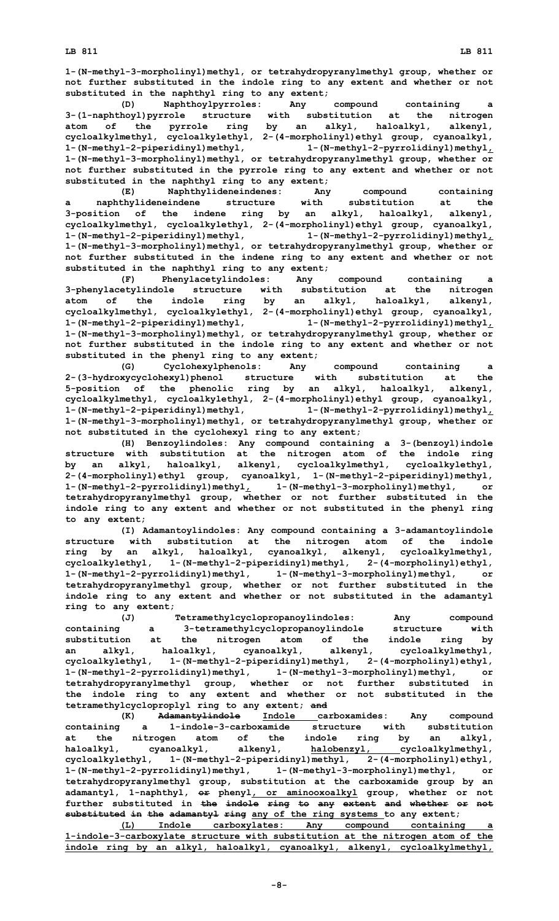**not further substituted in the indole ring to any extent and whether or not substituted in the naphthyl ring to any extent;**

**(D) Naphthoylpyrroles: Any compound containing <sup>a</sup> 3-(1-naphthoyl)pyrrole structure with substitution at the nitrogen atom of the pyrrole ring by an alkyl, haloalkyl, alkenyl, cycloalkylmethyl, cycloalkylethyl, 2-(4-morpholinyl)ethyl group, cyanoalkyl, 1-(N-methyl-2-piperidinyl)methyl, 1-(N-methyl-2-pyrrolidinyl)methyl, 1-(N-methyl-3-morpholinyl)methyl, or tetrahydropyranylmethyl group, whether or not further substituted in the pyrrole ring to any extent and whether or not substituted in the naphthyl ring to any extent;**

**(E) Naphthylideneindenes: Any compound containing <sup>a</sup> naphthylideneindene structure with substitution at the 3-position of the indene ring by an alkyl, haloalkyl, alkenyl, cycloalkylmethyl, cycloalkylethyl, 2-(4-morpholinyl)ethyl group, cyanoalkyl, 1-(N-methyl-2-piperidinyl)methyl, 1-(N-methyl-2-pyrrolidinyl)methyl, 1-(N-methyl-3-morpholinyl)methyl, or tetrahydropyranylmethyl group, whether or not further substituted in the indene ring to any extent and whether or not substituted in the naphthyl ring to any extent;**

**(F) Phenylacetylindoles: Any compound containing <sup>a</sup> 3-phenylacetylindole structure with substitution at the nitrogen atom of the indole ring by an alkyl, haloalkyl, alkenyl, cycloalkylmethyl, cycloalkylethyl, 2-(4-morpholinyl)ethyl group, cyanoalkyl, 1-(N-methyl-2-piperidinyl)methyl, 1-(N-methyl-2-pyrrolidinyl)methyl, 1-(N-methyl-3-morpholinyl)methyl, or tetrahydropyranylmethyl group, whether or not further substituted in the indole ring to any extent and whether or not substituted in the phenyl ring to any extent;**

**(G) Cyclohexylphenols: Any compound containing <sup>a</sup> 2-(3-hydroxycyclohexyl)phenol structure with substitution at the 5-position of the phenolic ring by an alkyl, haloalkyl, alkenyl, cycloalkylmethyl, cycloalkylethyl, 2-(4-morpholinyl)ethyl group, cyanoalkyl, 1-(N-methyl-2-piperidinyl)methyl, 1-(N-methyl-2-pyrrolidinyl)methyl, 1-(N-methyl-3-morpholinyl)methyl, or tetrahydropyranylmethyl group, whether or not substituted in the cyclohexyl ring to any extent;**

**(H) Benzoylindoles: Any compound containing <sup>a</sup> 3-(benzoyl)indole structure with substitution at the nitrogen atom of the indole ring by an alkyl, haloalkyl, alkenyl, cycloalkylmethyl, cycloalkylethyl, 2-(4-morpholinyl)ethyl group, cyanoalkyl, 1-(N-methyl-2-piperidinyl)methyl, 1-(N-methyl-2-pyrrolidinyl)methyl, 1-(N-methyl-3-morpholinyl)methyl, or tetrahydropyranylmethyl group, whether or not further substituted in the indole ring to any extent and whether or not substituted in the phenyl ring to any extent;**

**(I) Adamantoylindoles: Any compound containing <sup>a</sup> 3-adamantoylindole structure with substitution at the nitrogen atom of the indole ring by an alkyl, haloalkyl, cyanoalkyl, alkenyl, cycloalkylmethyl, cycloalkylethyl, 1-(N-methyl-2-piperidinyl)methyl, 2-(4-morpholinyl)ethyl, 1-(N-methyl-2-pyrrolidinyl)methyl, 1-(N-methyl-3-morpholinyl)methyl, or tetrahydropyranylmethyl group, whether or not further substituted in the indole ring to any extent and whether or not substituted in the adamantyl ring to any extent;**

**(J) Tetramethylcyclopropanoylindoles: Any compound containing <sup>a</sup> 3-tetramethylcyclopropanoylindole structure with substitution at the nitrogen atom of the indole ring by an alkyl, haloalkyl, cyanoalkyl, alkenyl, cycloalkylmethyl, cycloalkylethyl, 1-(N-methyl-2-piperidinyl)methyl, 2-(4-morpholinyl)ethyl, 1-(N-methyl-2-pyrrolidinyl)methyl, 1-(N-methyl-3-morpholinyl)methyl, or tetrahydropyranylmethyl group, whether or not further substituted in the indole ring to any extent and whether or not substituted in the tetramethylcycloproplyl ring to any extent; and**

**(K) Adamantylindole Indole carboxamides: Any compound containing <sup>a</sup> 1-indole-3-carboxamide structure with substitution at the nitrogen atom of the indole ring by an alkyl, haloalkyl, cyanoalkyl, alkenyl, halobenzyl, cycloalkylmethyl, cycloalkylethyl, 1-(N-methyl-2-piperidinyl)methyl, 2-(4-morpholinyl)ethyl, 1-(N-methyl-2-pyrrolidinyl)methyl, 1-(N-methyl-3-morpholinyl)methyl, or tetrahydropyranylmethyl group, substitution at the carboxamide group by an adamantyl, 1-naphthyl, or phenyl, or aminooxoalkyl group, whether or not further substituted in the indole ring to any extent and whether or not substituted in the adamantyl ring any of the ring systems to any extent;**

**(L) Indole carboxylates: Any compound containing <sup>a</sup> 1-indole-3-carboxylate structure with substitution at the nitrogen atom of the indole ring by an alkyl, haloalkyl, cyanoalkyl, alkenyl, cycloalkylmethyl,**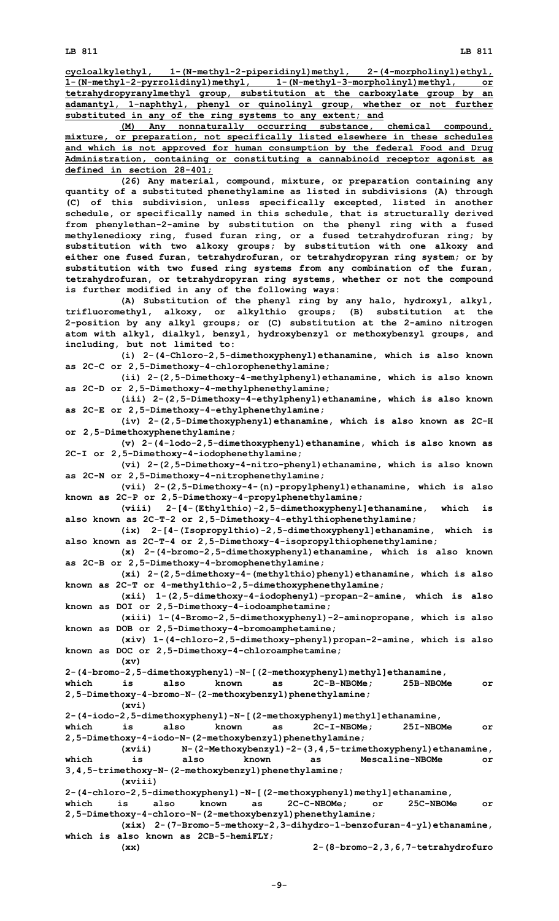**cycloalkylethyl, 1-(N-methyl-2-piperidinyl)methyl, 2-(4-morpholinyl)ethyl, 1-(N-methyl-2-pyrrolidinyl)methyl, 1-(N-methyl-3-morpholinyl)methyl, or tetrahydropyranylmethyl group, substitution at the carboxylate group by an adamantyl, 1-naphthyl, phenyl or quinolinyl group, whether or not further substituted in any of the ring systems to any extent; and**

**(M) Any nonnaturally occurring substance, chemical compound, mixture, or preparation, not specifically listed elsewhere in these schedules and which is not approved for human consumption by the federal Food and Drug Administration, containing or constituting <sup>a</sup> cannabinoid receptor agonist as defined in section 28-401;**

**(26) Any material, compound, mixture, or preparation containing any quantity of <sup>a</sup> substituted phenethylamine as listed in subdivisions (A) through (C) of this subdivision, unless specifically excepted, listed in another schedule, or specifically named in this schedule, that is structurally derived from phenylethan-2-amine by substitution on the phenyl ring with <sup>a</sup> fused methylenedioxy ring, fused furan ring, or <sup>a</sup> fused tetrahydrofuran ring; by substitution with two alkoxy groups; by substitution with one alkoxy and either one fused furan, tetrahydrofuran, or tetrahydropyran ring system; or by substitution with two fused ring systems from any combination of the furan, tetrahydrofuran, or tetrahydropyran ring systems, whether or not the compound is further modified in any of the following ways:**

**(A) Substitution of the phenyl ring by any halo, hydroxyl, alkyl, trifluoromethyl, alkoxy, or alkylthio groups; (B) substitution at the 2-position by any alkyl groups; or (C) substitution at the 2-amino nitrogen atom with alkyl, dialkyl, benzyl, hydroxybenzyl or methoxybenzyl groups, and including, but not limited to:**

**(i) 2-(4-Chloro-2,5-dimethoxyphenyl)ethanamine, which is also known as 2C-C or 2,5-Dimethoxy-4-chlorophenethylamine;**

**(ii) 2-(2,5-Dimethoxy-4-methylphenyl)ethanamine, which is also known as 2C-D or 2,5-Dimethoxy-4-methylphenethylamine;**

**(iii) 2-(2,5-Dimethoxy-4-ethylphenyl)ethanamine, which is also known as 2C-E or 2,5-Dimethoxy-4-ethylphenethylamine;**

**(iv) 2-(2,5-Dimethoxyphenyl)ethanamine, which is also known as 2C-H or 2,5-Dimethoxyphenethylamine;**

**(v) 2-(4-lodo-2,5-dimethoxyphenyl)ethanamine, which is also known as 2C-I or 2,5-Dimethoxy-4-iodophenethylamine;**

**(vi) 2-(2,5-Dimethoxy-4-nitro-phenyl)ethanamine, which is also known as 2C-N or 2,5-Dimethoxy-4-nitrophenethylamine;**

**(vii) 2-(2,5-Dimethoxy-4-(n)-propylphenyl)ethanamine, which is also known as 2C-P or 2,5-Dimethoxy-4-propylphenethylamine;**

**(viii) 2-[4-(Ethylthio)-2,5-dimethoxyphenyl]ethanamine, which is also known as 2C-T-2 or 2,5-Dimethoxy-4-ethylthiophenethylamine;**

**(ix) 2-[4-(Isopropylthio)-2,5-dimethoxyphenyl]ethanamine, which is also known as 2C-T-4 or 2,5-Dimethoxy-4-isopropylthiophenethylamine;**

**(x) 2-(4-bromo-2,5-dimethoxyphenyl)ethanamine, which is also known as 2C-B or 2,5-Dimethoxy-4-bromophenethylamine;**

**(xi) 2-(2,5-dimethoxy-4-(methylthio)phenyl)ethanamine, which is also known as 2C-T or 4-methylthio-2,5-dimethoxyphenethylamine;**

**(xii) 1-(2,5-dimethoxy-4-iodophenyl)-propan-2-amine, which is also known as DOI or 2,5-Dimethoxy-4-iodoamphetamine;**

**(xiii) 1-(4-Bromo-2,5-dimethoxyphenyl)-2-aminopropane, which is also known as DOB or 2,5-Dimethoxy-4-bromoamphetamine;**

**(xiv) 1-(4-chloro-2,5-dimethoxy-phenyl)propan-2-amine, which is also known as DOC or 2,5-Dimethoxy-4-chloroamphetamine;**

**(xv) 2-(4-bromo-2,5-dimethoxyphenyl)-N-[(2-methoxyphenyl)methyl]ethanamine,**

**which is also known as 2C-B-NBOMe; 25B-NBOMe or 2,5-Dimethoxy-4-bromo-N-(2-methoxybenzyl)phenethylamine;**

**(xvi)**

**2-(4-iodo-2,5-dimethoxyphenyl)-N-[(2-methoxyphenyl)methyl]ethanamine,**

**which is also known as 2C-I-NBOMe; 25I-NBOMe or 2,5-Dimethoxy-4-iodo-N-(2-methoxybenzyl)phenethylamine;**

**(xvii) N-(2-Methoxybenzyl)-2-(3,4,5-trimethoxyphenyl)ethanamine, which is also known as Mescaline-NBOMe or 3,4,5-trimethoxy-N-(2-methoxybenzyl)phenethylamine;**

**(xviii)**

**2-(4-chloro-2,5-dimethoxyphenyl)-N-[(2-methoxyphenyl)methyl]ethanamine,**

**which is also known as 2C-C-NBOMe; or 25C-NBOMe or 2,5-Dimethoxy-4-chloro-N-(2-methoxybenzyl)phenethylamine;**

**(xix) 2-(7-Bromo-5-methoxy-2,3-dihydro-1-benzofuran-4-yl)ethanamine, which is also known as 2CB-5-hemiFLY;**

**(xx) 2-(8-bromo-2,3,6,7-tetrahydrofuro**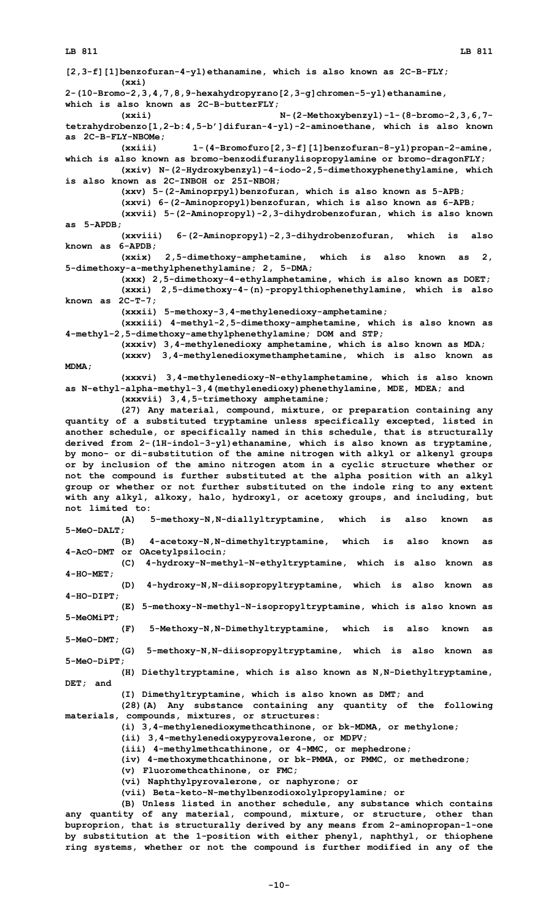**[2,3-f][1]benzofuran-4-yl)ethanamine, which is also known as 2C-B-FLY; (xxi) 2-(10-Bromo-2,3,4,7,8,9-hexahydropyrano[2,3-g]chromen-5-yl)ethanamine, which is also known as 2C-B-butterFLY; (xxii) N-(2-Methoxybenzyl)-1-(8-bromo-2,3,6,7 tetrahydrobenzo[1,2-b:4,5-b']difuran-4-yl)-2-aminoethane, which is also known as 2C-B-FLY-NBOMe; (xxiii) 1-(4-Bromofuro[2,3-f][1]benzofuran-8-yl)propan-2-amine, which is also known as bromo-benzodifuranylisopropylamine or bromo-dragonFLY; (xxiv) N-(2-Hydroxybenzyl)-4-iodo-2,5-dimethoxyphenethylamine, which is also known as 2C-INBOH or 25I-NBOH; (xxv) 5-(2-Aminoprpyl)benzofuran, which is also known as 5-APB; (xxvi) 6-(2-Aminopropyl)benzofuran, which is also known as 6-APB; (xxvii) 5-(2-Aminopropyl)-2,3-dihydrobenzofuran, which is also known as 5-APDB; (xxviii) 6-(2-Aminopropyl)-2,3-dihydrobenzofuran, which is also known as 6-APDB; (xxix) 2,5-dimethoxy-amphetamine, which is also known as 2, 5-dimethoxy-a-methylphenethylamine; 2, 5-DMA; (xxx) 2,5-dimethoxy-4-ethylamphetamine, which is also known as DOET; (xxxi) 2,5-dimethoxy-4-(n)-propylthiophenethylamine, which is also known as 2C-T-7; (xxxii) 5-methoxy-3,4-methylenedioxy-amphetamine; (xxxiii) 4-methyl-2,5-dimethoxy-amphetamine, which is also known as 4-methyl-2,5-dimethoxy-amethylphenethylamine; DOM and STP; (xxxiv) 3,4-methylenedioxy amphetamine, which is also known as MDA; (xxxv) 3,4-methylenedioxymethamphetamine, which is also known as MDMA; (xxxvi) 3,4-methylenedioxy-N-ethylamphetamine, which is also known as N-ethyl-alpha-methyl-3,4(methylenedioxy)phenethylamine, MDE, MDEA; and (xxxvii) 3,4,5-trimethoxy amphetamine; (27) Any material, compound, mixture, or preparation containing any quantity of <sup>a</sup> substituted tryptamine unless specifically excepted, listed in another schedule, or specifically named in this schedule, that is structurally derived from 2-(1H-indol-3-yl)ethanamine, which is also known as tryptamine, by mono- or di-substitution of the amine nitrogen with alkyl or alkenyl groups or by inclusion of the amino nitrogen atom in <sup>a</sup> cyclic structure whether or not the compound is further substituted at the alpha position with an alkyl group or whether or not further substituted on the indole ring to any extent with any alkyl, alkoxy, halo, hydroxyl, or acetoxy groups, and including, but not limited to: (A) 5-methoxy-N,N-diallyltryptamine, which is also known as 5-MeO-DALT; (B) 4-acetoxy-N,N-dimethyltryptamine, which is also known as 4-AcO-DMT or OAcetylpsilocin; (C) 4-hydroxy-N-methyl-N-ethyltryptamine, which is also known as 4-HO-MET; (D) 4-hydroxy-N,N-diisopropyltryptamine, which is also known as 4-HO-DIPT; (E) 5-methoxy-N-methyl-N-isopropyltryptamine, which is also known as 5-MeOMiPT; (F) 5-Methoxy-N,N-Dimethyltryptamine, which is also known as 5-MeO-DMT; (G) 5-methoxy-N,N-diisopropyltryptamine, which is also known as 5-MeO-DiPT; (H) Diethyltryptamine, which is also known as N,N-Diethyltryptamine, DET; and (I) Dimethyltryptamine, which is also known as DMT; and (28)(A) Any substance containing any quantity of the following materials, compounds, mixtures, or structures: (i) 3,4-methylenedioxymethcathinone, or bk-MDMA, or methylone; (ii) 3,4-methylenedioxypyrovalerone, or MDPV; (iii) 4-methylmethcathinone, or 4-MMC, or mephedrone; (iv) 4-methoxymethcathinone, or bk-PMMA, or PMMC, or methedrone; (v) Fluoromethcathinone, or FMC; (vi) Naphthylpyrovalerone, or naphyrone; or (vii) Beta-keto-N-methylbenzodioxolylpropylamine; or (B) Unless listed in another schedule, any substance which contains any quantity of any material, compound, mixture, or structure, other than**

**buproprion, that is structurally derived by any means from 2-aminopropan-1-one by substitution at the 1-position with either phenyl, naphthyl, or thiophene ring systems, whether or not the compound is further modified in any of the**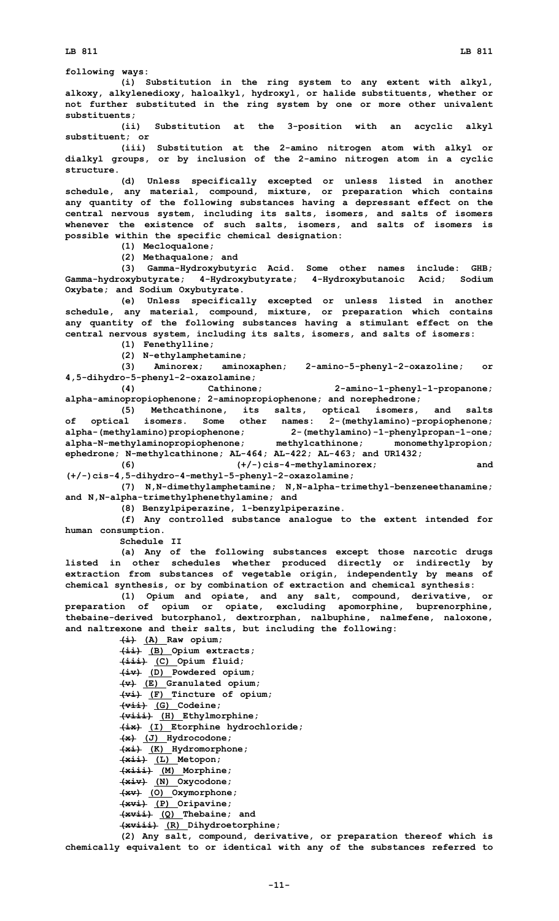**following ways:**

**(i) Substitution in the ring system to any extent with alkyl, alkoxy, alkylenedioxy, haloalkyl, hydroxyl, or halide substituents, whether or not further substituted in the ring system by one or more other univalent substituents;**

**(ii) Substitution at the 3-position with an acyclic alkyl substituent; or**

**(iii) Substitution at the 2-amino nitrogen atom with alkyl or dialkyl groups, or by inclusion of the 2-amino nitrogen atom in <sup>a</sup> cyclic structure.**

**(d) Unless specifically excepted or unless listed in another schedule, any material, compound, mixture, or preparation which contains any quantity of the following substances having <sup>a</sup> depressant effect on the central nervous system, including its salts, isomers, and salts of isomers whenever the existence of such salts, isomers, and salts of isomers is possible within the specific chemical designation:**

**(1) Mecloqualone;**

**(2) Methaqualone; and**

**(3) Gamma-Hydroxybutyric Acid. Some other names include: GHB; Gamma-hydroxybutyrate; 4-Hydroxybutyrate; 4-Hydroxybutanoic Acid; Sodium Oxybate; and Sodium Oxybutyrate.**

**(e) Unless specifically excepted or unless listed in another schedule, any material, compound, mixture, or preparation which contains any quantity of the following substances having <sup>a</sup> stimulant effect on the central nervous system, including its salts, isomers, and salts of isomers:**

**(1) Fenethylline;**

**(2) N-ethylamphetamine;**

**(3) Aminorex; aminoxaphen; 2-amino-5-phenyl-2-oxazoline; or 4,5-dihydro-5-phenyl-2-oxazolamine;**

**(4) Cathinone; 2-amino-1-phenyl-1-propanone; alpha-aminopropiophenone; 2-aminopropiophenone; and norephedrone;**

**(5) Methcathinone, its salts, optical isomers, and salts of optical isomers. Some other names: 2-(methylamino)-propiophenone; alpha-(methylamino)propiophenone; 2-(methylamino)-1-phenylpropan-1-one; alpha-N-methylaminopropiophenone; methylcathinone; monomethylpropion; ephedrone; N-methylcathinone; AL-464; AL-422; AL-463; and UR1432;**

**(6) (+/-)cis-4-methylaminorex; and (+/-)cis-4,5-dihydro-4-methyl-5-phenyl-2-oxazolamine;**

**(7) N,N-dimethylamphetamine; N,N-alpha-trimethyl-benzeneethanamine; and N,N-alpha-trimethylphenethylamine; and**

**(8) Benzylpiperazine, 1-benzylpiperazine.**

**(f) Any controlled substance analogue to the extent intended for human consumption.**

**Schedule II**

**(a) Any of the following substances except those narcotic drugs listed in other schedules whether produced directly or indirectly by extraction from substances of vegetable origin, independently by means of chemical synthesis, or by combination of extraction and chemical synthesis:**

**(1) Opium and opiate, and any salt, compound, derivative, or preparation of opium or opiate, excluding apomorphine, buprenorphine, thebaine-derived butorphanol, dextrorphan, nalbuphine, nalmefene, naloxone, and naltrexone and their salts, but including the following:**

**(i) (A) Raw opium;**

**(ii) (B) Opium extracts; (iii) (C) Opium fluid; (iv) (D) Powdered opium; (v) (E) Granulated opium; (vi) (F) Tincture of opium; (vii) (G) Codeine; (viii) (H) Ethylmorphine; (ix) (I) Etorphine hydrochloride; (x) (J) Hydrocodone; (xi) (K) Hydromorphone; (xii) (L) Metopon; (xiii) (M) Morphine; (xiv) (N) Oxycodone; (xv) (O) Oxymorphone; (xvi) (P) Oripavine; (xvii) (Q) Thebaine; and (xviii) (R) Dihydroetorphine;**

**(2) Any salt, compound, derivative, or preparation thereof which is chemically equivalent to or identical with any of the substances referred to**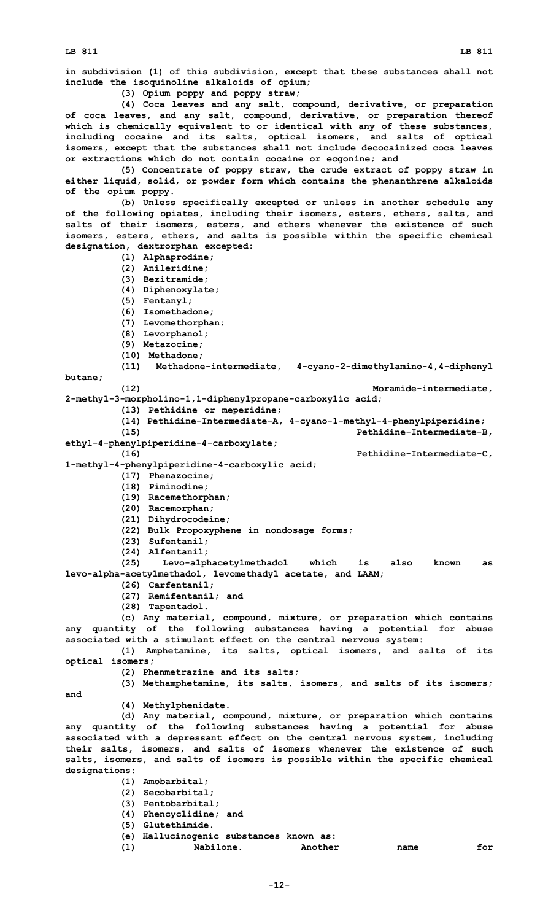**in subdivision (1) of this subdivision, except that these substances shall not include the isoquinoline alkaloids of opium;**

**(3) Opium poppy and poppy straw;**

**(4) Coca leaves and any salt, compound, derivative, or preparation of coca leaves, and any salt, compound, derivative, or preparation thereof which is chemically equivalent to or identical with any of these substances, including cocaine and its salts, optical isomers, and salts of optical isomers, except that the substances shall not include decocainized coca leaves or extractions which do not contain cocaine or ecgonine; and**

**(5) Concentrate of poppy straw, the crude extract of poppy straw in either liquid, solid, or powder form which contains the phenanthrene alkaloids of the opium poppy.**

**(b) Unless specifically excepted or unless in another schedule any of the following opiates, including their isomers, esters, ethers, salts, and salts of their isomers, esters, and ethers whenever the existence of such isomers, esters, ethers, and salts is possible within the specific chemical designation, dextrorphan excepted:**

- **(1) Alphaprodine;**
- **(2) Anileridine;**
- **(3) Bezitramide;**
- **(4) Diphenoxylate;**
- **(5) Fentanyl;**
- **(6) Isomethadone;**
- **(7) Levomethorphan;**
- **(8) Levorphanol;**
- **(9) Metazocine;**
- **(10) Methadone;**
- 
- **(11) Methadone-intermediate, 4-cyano-2-dimethylamino-4,4-diphenyl**

**butane;**

**(12) Moramide-intermediate,**

- **2-methyl-3-morpholino-1,1-diphenylpropane-carboxylic acid; (13) Pethidine or meperidine;**
	- **(14) Pethidine-Intermediate-A, 4-cyano-1-methyl-4-phenylpiperidine; (15) Pethidine-Intermediate-B,**
- **ethyl-4-phenylpiperidine-4-carboxylate;**

**(16) Pethidine-Intermediate-C,**

**1-methyl-4-phenylpiperidine-4-carboxylic acid;**

- **(17) Phenazocine;**
- **(18) Piminodine;**
- **(19) Racemethorphan;**
- **(20) Racemorphan;**
- **(21) Dihydrocodeine;**
- **(22) Bulk Propoxyphene in nondosage forms;**
- **(23) Sufentanil;**
- **(24) Alfentanil;**

**(25) Levo-alphacetylmethadol which is also known as levo-alpha-acetylmethadol, levomethadyl acetate, and LAAM;**

- **(26) Carfentanil;**
- **(27) Remifentanil; and**
- **(28) Tapentadol.**

**(c) Any material, compound, mixture, or preparation which contains any quantity of the following substances having <sup>a</sup> potential for abuse associated with <sup>a</sup> stimulant effect on the central nervous system:**

**(1) Amphetamine, its salts, optical isomers, and salts of its optical isomers;**

**(2) Phenmetrazine and its salts;**

**(3) Methamphetamine, its salts, isomers, and salts of its isomers;**

**and**

**(4) Methylphenidate.**

**(d) Any material, compound, mixture, or preparation which contains any quantity of the following substances having <sup>a</sup> potential for abuse associated with <sup>a</sup> depressant effect on the central nervous system, including their salts, isomers, and salts of isomers whenever the existence of such salts, isomers, and salts of isomers is possible within the specific chemical designations:**

- **(1) Amobarbital;**
- **(2) Secobarbital;**

**(3) Pentobarbital;**

- **(4) Phencyclidine; and**
- **(5) Glutethimide.**
- **(e) Hallucinogenic substances known as:**
- **(1) Nabilone. Another name for**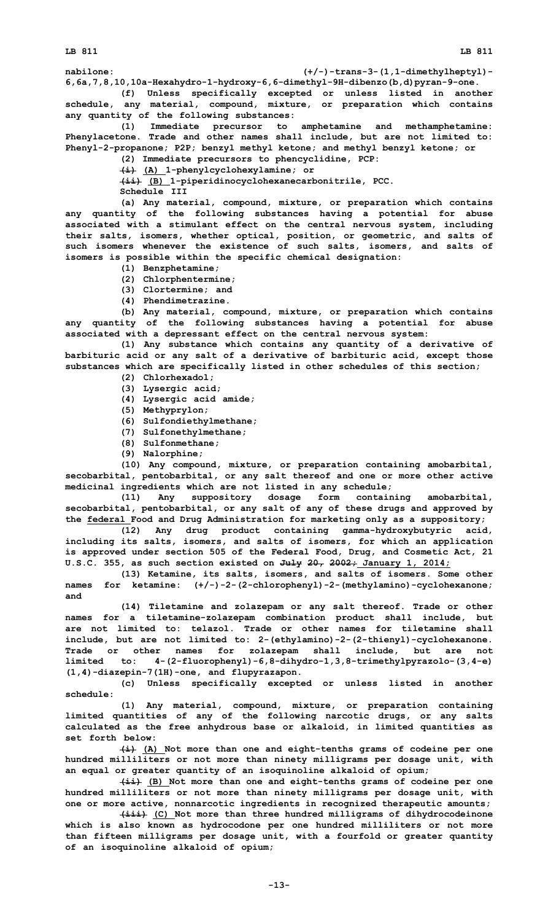**nabilone: (+/-)-trans-3-(1,1-dimethylheptyl)- 6,6a,7,8,10,10a-Hexahydro-1-hydroxy-6,6-dimethyl-9H-dibenzo(b,d)pyran-9-one.**

**(f) Unless specifically excepted or unless listed in another schedule, any material, compound, mixture, or preparation which contains any quantity of the following substances:**

**(1) Immediate precursor to amphetamine and methamphetamine: Phenylacetone. Trade and other names shall include, but are not limited to: Phenyl-2-propanone; P2P; benzyl methyl ketone; and methyl benzyl ketone; or**

**(2) Immediate precursors to phencyclidine, PCP:**

**(i) (A) 1-phenylcyclohexylamine; or**

**(ii) (B) 1-piperidinocyclohexanecarbonitrile, PCC.**

**Schedule III**

**(a) Any material, compound, mixture, or preparation which contains any quantity of the following substances having <sup>a</sup> potential for abuse associated with <sup>a</sup> stimulant effect on the central nervous system, including their salts, isomers, whether optical, position, or geometric, and salts of such isomers whenever the existence of such salts, isomers, and salts of isomers is possible within the specific chemical designation:**

- **(1) Benzphetamine;**
- **(2) Chlorphentermine;**
- **(3) Clortermine; and**
- **(4) Phendimetrazine.**

**(b) Any material, compound, mixture, or preparation which contains any quantity of the following substances having <sup>a</sup> potential for abuse associated with <sup>a</sup> depressant effect on the central nervous system:**

**(1) Any substance which contains any quantity of <sup>a</sup> derivative of barbituric acid or any salt of <sup>a</sup> derivative of barbituric acid, except those substances which are specifically listed in other schedules of this section;**

- **(2) Chlorhexadol;**
- **(3) Lysergic acid;**
- **(4) Lysergic acid amide;**
- **(5) Methyprylon;**
- **(6) Sulfondiethylmethane;**
- **(7) Sulfonethylmethane;**
- **(8) Sulfonmethane;**
- **(9) Nalorphine;**

**(10) Any compound, mixture, or preparation containing amobarbital, secobarbital, pentobarbital, or any salt thereof and one or more other active medicinal ingredients which are not listed in any schedule;**

**(11) Any suppository dosage form containing amobarbital, secobarbital, pentobarbital, or any salt of any of these drugs and approved by the federal Food and Drug Administration for marketing only as <sup>a</sup> suppository;**

**(12) Any drug product containing gamma-hydroxybutyric acid, including its salts, isomers, and salts of isomers, for which an application is approved under section 505 of the Federal Food, Drug, and Cosmetic Act, 21 U.S.C. 355, as such section existed on July 20, 2002; January 1, 2014;**

**(13) Ketamine, its salts, isomers, and salts of isomers. Some other names for ketamine: (+/-)-2-(2-chlorophenyl)-2-(methylamino)-cyclohexanone; and**

**(14) Tiletamine and zolazepam or any salt thereof. Trade or other names for <sup>a</sup> tiletamine-zolazepam combination product shall include, but are not limited to: telazol. Trade or other names for tiletamine shall include, but are not limited to: 2-(ethylamino)-2-(2-thienyl)-cyclohexanone. Trade or other names for zolazepam shall include, but are not limited to: 4-(2-fluorophenyl)-6,8-dihydro-1,3,8-trimethylpyrazolo-(3,4-e) (1,4)-diazepin-7(1H)-one, and flupyrazapon.**

**(c) Unless specifically excepted or unless listed in another schedule:**

**(1) Any material, compound, mixture, or preparation containing limited quantities of any of the following narcotic drugs, or any salts calculated as the free anhydrous base or alkaloid, in limited quantities as set forth below:**

**(i) (A) Not more than one and eight-tenths grams of codeine per one hundred milliliters or not more than ninety milligrams per dosage unit, with an equal or greater quantity of an isoquinoline alkaloid of opium;**

**(ii) (B) Not more than one and eight-tenths grams of codeine per one hundred milliliters or not more than ninety milligrams per dosage unit, with one or more active, nonnarcotic ingredients in recognized therapeutic amounts;**

**(iii) (C) Not more than three hundred milligrams of dihydrocodeinone which is also known as hydrocodone per one hundred milliliters or not more than fifteen milligrams per dosage unit, with <sup>a</sup> fourfold or greater quantity of an isoquinoline alkaloid of opium;**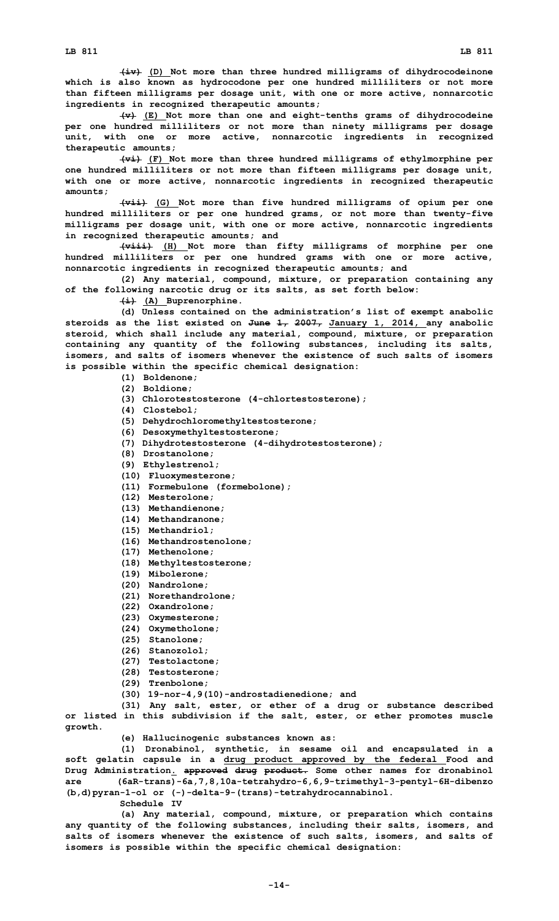**(iv) (D) Not more than three hundred milligrams of dihydrocodeinone which is also known as hydrocodone per one hundred milliliters or not more than fifteen milligrams per dosage unit, with one or more active, nonnarcotic ingredients in recognized therapeutic amounts;**

**(v) (E) Not more than one and eight-tenths grams of dihydrocodeine per one hundred milliliters or not more than ninety milligrams per dosage unit, with one or more active, nonnarcotic ingredients in recognized therapeutic amounts;**

**(vi) (F) Not more than three hundred milligrams of ethylmorphine per one hundred milliliters or not more than fifteen milligrams per dosage unit, with one or more active, nonnarcotic ingredients in recognized therapeutic amounts;**

**(vii) (G) Not more than five hundred milligrams of opium per one hundred milliliters or per one hundred grams, or not more than twenty-five milligrams per dosage unit, with one or more active, nonnarcotic ingredients in recognized therapeutic amounts; and**

**(viii) (H) Not more than fifty milligrams of morphine per one hundred milliliters or per one hundred grams with one or more active, nonnarcotic ingredients in recognized therapeutic amounts; and**

**(2) Any material, compound, mixture, or preparation containing any of the following narcotic drug or its salts, as set forth below:**

**(i) (A) Buprenorphine.**

**(d) Unless contained on the administration's list of exempt anabolic steroids as the list existed on June 1, 2007, January 1, 2014, any anabolic steroid, which shall include any material, compound, mixture, or preparation containing any quantity of the following substances, including its salts, isomers, and salts of isomers whenever the existence of such salts of isomers is possible within the specific chemical designation:**

- **(1) Boldenone;**
- **(2) Boldione;**
- **(3) Chlorotestosterone (4-chlortestosterone);**
- **(4) Clostebol;**
- **(5) Dehydrochloromethyltestosterone;**
- **(6) Desoxymethyltestosterone;**
- **(7) Dihydrotestosterone (4-dihydrotestosterone);**
- **(8) Drostanolone;**
- **(9) Ethylestrenol;**
- **(10) Fluoxymesterone;**
- **(11) Formebulone (formebolone);**
- **(12) Mesterolone;**
- **(13) Methandienone;**
- **(14) Methandranone;**
- **(15) Methandriol;**
- **(16) Methandrostenolone;**
- **(17) Methenolone;**
- **(18) Methyltestosterone;**
- **(19) Mibolerone;**
- **(20) Nandrolone;**
- **(21) Norethandrolone;**
- **(22) Oxandrolone;**
- **(23) Oxymesterone;**
- **(24) Oxymetholone;**
- **(25) Stanolone;**
- **(26) Stanozolol;**
- **(27) Testolactone;**
- **(28) Testosterone;**
- **(29) Trenbolone;**
- **(30) 19-nor-4,9(10)-androstadienedione; and**

**(31) Any salt, ester, or ether of <sup>a</sup> drug or substance described or listed in this subdivision if the salt, ester, or ether promotes muscle growth.**

**(e) Hallucinogenic substances known as:**

**(1) Dronabinol, synthetic, in sesame oil and encapsulated in <sup>a</sup> soft gelatin capsule in <sup>a</sup> drug product approved by the federal Food and Drug Administration. approved drug product. Some other names for dronabinol are (6aR-trans)-6a,7,8,10a-tetrahydro-6,6,9-trimethyl-3-pentyl-6H-dibenzo (b,d)pyran-1-ol or (-)-delta-9-(trans)-tetrahydrocannabinol. Schedule IV**

**(a) Any material, compound, mixture, or preparation which contains any quantity of the following substances, including their salts, isomers, and salts of isomers whenever the existence of such salts, isomers, and salts of isomers is possible within the specific chemical designation:**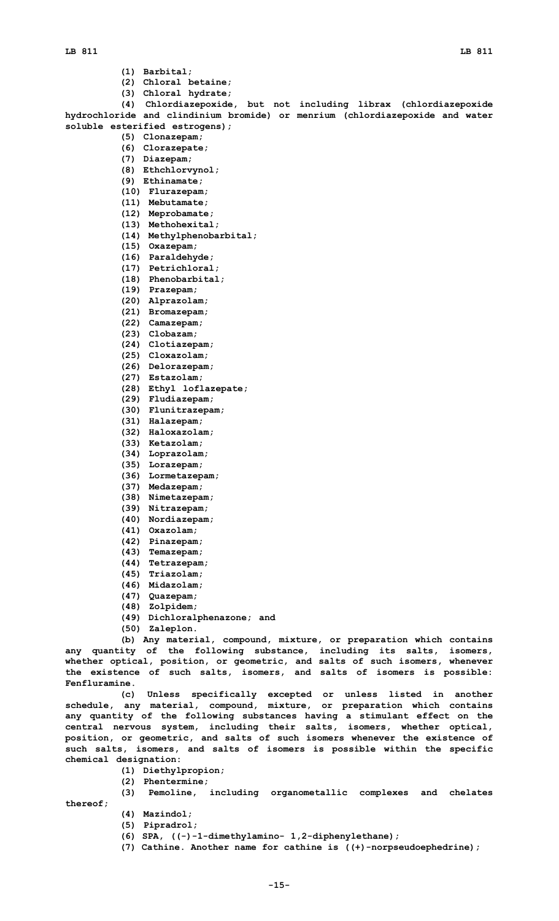- **(1) Barbital;**
- **(2) Chloral betaine;**
- **(3) Chloral hydrate;**

**(4) Chlordiazepoxide, but not including librax (chlordiazepoxide hydrochloride and clindinium bromide) or menrium (chlordiazepoxide and water soluble esterified estrogens);**

- **(5) Clonazepam;**
- **(6) Clorazepate;**
- **(7) Diazepam;**
- **(8) Ethchlorvynol;**
- **(9) Ethinamate;**
- **(10) Flurazepam;**
- **(11) Mebutamate;**
- **(12) Meprobamate;**
- **(13) Methohexital;**
- **(14) Methylphenobarbital;**
- **(15) Oxazepam;**
- **(16) Paraldehyde;**
- **(17) Petrichloral;**
- **(18) Phenobarbital;**
- **(19) Prazepam;**
- **(20) Alprazolam;**
- **(21) Bromazepam;**
- **(22) Camazepam;**
- **(23) Clobazam;**
- **(24) Clotiazepam;**
- **(25) Cloxazolam;**
- **(26) Delorazepam;**
- **(27) Estazolam;**
- **(28) Ethyl loflazepate;**
- **(29) Fludiazepam;**
- **(30) Flunitrazepam;**
- **(31) Halazepam;**
- **(32) Haloxazolam;**
- **(33) Ketazolam;**
- **(34) Loprazolam;**
- **(35) Lorazepam;**
- **(36) Lormetazepam;**
- **(37) Medazepam;**
- **(38) Nimetazepam;**
- **(39) Nitrazepam;**
- **(40) Nordiazepam;**
- **(41) Oxazolam;**
- **(42) Pinazepam;**
- **(43) Temazepam;**
- **(44) Tetrazepam;**
- **(45) Triazolam;**
- **(46) Midazolam;**
- **(47) Quazepam;**
- **(48) Zolpidem;**
- **(49) Dichloralphenazone; and**
- **(50) Zaleplon.**

**(b) Any material, compound, mixture, or preparation which contains any quantity of the following substance, including its salts, isomers, whether optical, position, or geometric, and salts of such isomers, whenever the existence of such salts, isomers, and salts of isomers is possible: Fenfluramine.**

**(c) Unless specifically excepted or unless listed in another schedule, any material, compound, mixture, or preparation which contains any quantity of the following substances having <sup>a</sup> stimulant effect on the central nervous system, including their salts, isomers, whether optical, position, or geometric, and salts of such isomers whenever the existence of such salts, isomers, and salts of isomers is possible within the specific chemical designation:**

- **(1) Diethylpropion;**
- **(2) Phentermine;**
- **(3) Pemoline, including organometallic complexes and chelates**
- **thereof; (4) Mazindol;**
	- **(5) Pipradrol;**
	- **(6) SPA, ((-)-1-dimethylamino- 1,2-diphenylethane);**
	- **(7) Cathine. Another name for cathine is ((+)-norpseudoephedrine);**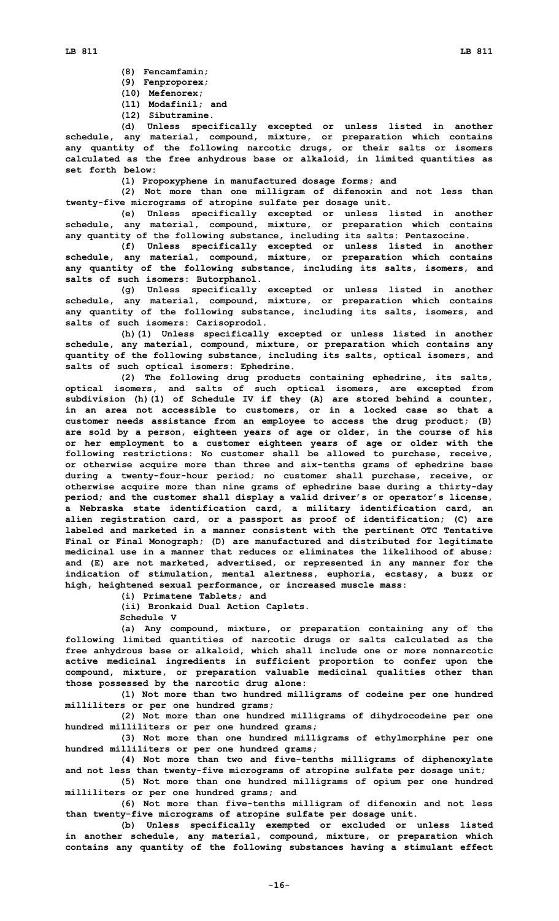- **(8) Fencamfamin;**
- **(9) Fenproporex;**
- **(10) Mefenorex;**
- **(11) Modafinil; and**
- **(12) Sibutramine.**

**(d) Unless specifically excepted or unless listed in another schedule, any material, compound, mixture, or preparation which contains any quantity of the following narcotic drugs, or their salts or isomers calculated as the free anhydrous base or alkaloid, in limited quantities as set forth below:**

**(1) Propoxyphene in manufactured dosage forms; and**

**(2) Not more than one milligram of difenoxin and not less than twenty-five micrograms of atropine sulfate per dosage unit.**

**(e) Unless specifically excepted or unless listed in another schedule, any material, compound, mixture, or preparation which contains any quantity of the following substance, including its salts: Pentazocine.**

**(f) Unless specifically excepted or unless listed in another schedule, any material, compound, mixture, or preparation which contains any quantity of the following substance, including its salts, isomers, and salts of such isomers: Butorphanol.**

**(g) Unless specifically excepted or unless listed in another schedule, any material, compound, mixture, or preparation which contains any quantity of the following substance, including its salts, isomers, and salts of such isomers: Carisoprodol.**

**(h)(1) Unless specifically excepted or unless listed in another schedule, any material, compound, mixture, or preparation which contains any quantity of the following substance, including its salts, optical isomers, and salts of such optical isomers: Ephedrine.**

**(2) The following drug products containing ephedrine, its salts, optical isomers, and salts of such optical isomers, are excepted from subdivision (h)(1) of Schedule IV if they (A) are stored behind <sup>a</sup> counter, in an area not accessible to customers, or in <sup>a</sup> locked case so that <sup>a</sup> customer needs assistance from an employee to access the drug product; (B) are sold by <sup>a</sup> person, eighteen years of age or older, in the course of his or her employment to <sup>a</sup> customer eighteen years of age or older with the following restrictions: No customer shall be allowed to purchase, receive, or otherwise acquire more than three and six-tenths grams of ephedrine base during <sup>a</sup> twenty-four-hour period; no customer shall purchase, receive, or otherwise acquire more than nine grams of ephedrine base during <sup>a</sup> thirty-day period; and the customer shall display <sup>a</sup> valid driver's or operator's license, <sup>a</sup> Nebraska state identification card, <sup>a</sup> military identification card, an alien registration card, or <sup>a</sup> passport as proof of identification; (C) are labeled and marketed in <sup>a</sup> manner consistent with the pertinent OTC Tentative Final or Final Monograph; (D) are manufactured and distributed for legitimate medicinal use in <sup>a</sup> manner that reduces or eliminates the likelihood of abuse; and (E) are not marketed, advertised, or represented in any manner for the indication of stimulation, mental alertness, euphoria, ecstasy, <sup>a</sup> buzz or high, heightened sexual performance, or increased muscle mass:**

**(i) Primatene Tablets; and (ii) Bronkaid Dual Action Caplets.**

**Schedule V**

**(a) Any compound, mixture, or preparation containing any of the following limited quantities of narcotic drugs or salts calculated as the free anhydrous base or alkaloid, which shall include one or more nonnarcotic active medicinal ingredients in sufficient proportion to confer upon the compound, mixture, or preparation valuable medicinal qualities other than those possessed by the narcotic drug alone:**

**(1) Not more than two hundred milligrams of codeine per one hundred milliliters or per one hundred grams;**

**(2) Not more than one hundred milligrams of dihydrocodeine per one hundred milliliters or per one hundred grams;**

**(3) Not more than one hundred milligrams of ethylmorphine per one hundred milliliters or per one hundred grams;**

**(4) Not more than two and five-tenths milligrams of diphenoxylate and not less than twenty-five micrograms of atropine sulfate per dosage unit;**

**(5) Not more than one hundred milligrams of opium per one hundred milliliters or per one hundred grams; and**

**(6) Not more than five-tenths milligram of difenoxin and not less than twenty-five micrograms of atropine sulfate per dosage unit.**

**(b) Unless specifically exempted or excluded or unless listed in another schedule, any material, compound, mixture, or preparation which contains any quantity of the following substances having <sup>a</sup> stimulant effect**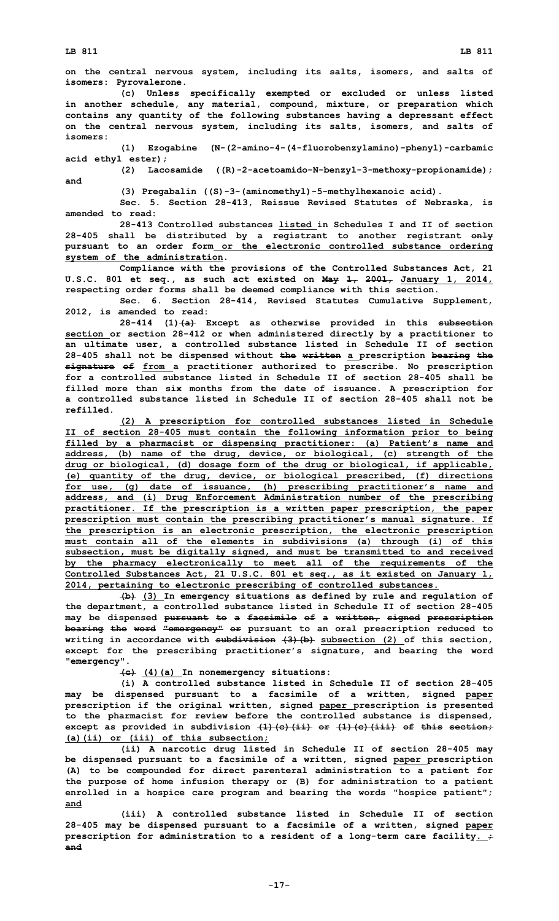**on the central nervous system, including its salts, isomers, and salts of isomers: Pyrovalerone.**

**(c) Unless specifically exempted or excluded or unless listed in another schedule, any material, compound, mixture, or preparation which contains any quantity of the following substances having <sup>a</sup> depressant effect on the central nervous system, including its salts, isomers, and salts of isomers:**

**(1) Ezogabine (N-(2-amino-4-(4-fluorobenzylamino)-phenyl)-carbamic acid ethyl ester);**

**(2) Lacosamide ((R)-2-acetoamido-N-benzyl-3-methoxy-propionamide); and**

**(3) Pregabalin ((S)-3-(aminomethyl)-5-methylhexanoic acid).**

**Sec. 5. Section 28-413, Reissue Revised Statutes of Nebraska, is amended to read:**

**28-413 Controlled substances listed in Schedules I and II of section 28-405 shall be distributed by <sup>a</sup> registrant to another registrant only pursuant to an order form or the electronic controlled substance ordering system of the administration.**

**Compliance with the provisions of the Controlled Substances Act, 21 U.S.C. 801 et seq., as such act existed on May 1, 2001, January 1, 2014, respecting order forms shall be deemed compliance with this section.**

**Sec. 6. Section 28-414, Revised Statutes Cumulative Supplement, 2012, is amended to read:**

**28-414 (1)(a) Except as otherwise provided in this subsection section or section 28-412 or when administered directly by <sup>a</sup> practitioner to an ultimate user, <sup>a</sup> controlled substance listed in Schedule II of section 28-405 shall not be dispensed without the written <sup>a</sup> prescription bearing the signature of from <sup>a</sup> practitioner authorized to prescribe. No prescription for a controlled substance listed in Schedule II of section 28-405 shall be filled more than six months from the date of issuance. A prescription for a controlled substance listed in Schedule II of section 28-405 shall not be refilled.**

**(2) <sup>A</sup> prescription for controlled substances listed in Schedule II of section 28-405 must contain the following information prior to being filled by <sup>a</sup> pharmacist or dispensing practitioner: (a) Patient's name and address, (b) name of the drug, device, or biological, (c) strength of the drug or biological, (d) dosage form of the drug or biological, if applicable, (e) quantity of the drug, device, or biological prescribed, (f) directions for use, (g) date of issuance, (h) prescribing practitioner's name and address, and (i) Drug Enforcement Administration number of the prescribing practitioner. If the prescription is <sup>a</sup> written paper prescription, the paper prescription must contain the prescribing practitioner's manual signature. If the prescription is an electronic prescription, the electronic prescription must contain all of the elements in subdivisions (a) through (i) of this subsection, must be digitally signed, and must be transmitted to and received by the pharmacy electronically to meet all of the requirements of the Controlled Substances Act, 21 U.S.C. 801 et seq., as it existed on January 1, 2014, pertaining to electronic prescribing of controlled substances.**

**(b) (3) In emergency situations as defined by rule and regulation of the department, <sup>a</sup> controlled substance listed in Schedule II of section 28-405 may be dispensed pursuant to <sup>a</sup> facsimile of <sup>a</sup> written, signed prescription bearing the word "emergency" or pursuant to an oral prescription reduced to writing in accordance with subdivision (3)(b) subsection (2) of this section, except for the prescribing practitioner's signature, and bearing the word "emergency".**

**(c) (4)(a) In nonemergency situations:**

**(i) A controlled substance listed in Schedule II of section 28-405 may be dispensed pursuant to <sup>a</sup> facsimile of <sup>a</sup> written, signed paper prescription if the original written, signed paper prescription is presented to the pharmacist for review before the controlled substance is dispensed, except as provided in subdivision (1)(c)(ii) or (1)(c)(iii) of this section; (a)(ii) or (iii) of this subsection;**

**(ii) <sup>A</sup> narcotic drug listed in Schedule II of section 28-405 may be dispensed pursuant to <sup>a</sup> facsimile of <sup>a</sup> written, signed paper prescription (A) to be compounded for direct parenteral administration to <sup>a</sup> patient for the purpose of home infusion therapy or (B) for administration to <sup>a</sup> patient enrolled in <sup>a</sup> hospice care program and bearing the words "hospice patient"; and**

**(iii) A controlled substance listed in Schedule II of section 28-405 may be dispensed pursuant to <sup>a</sup> facsimile of <sup>a</sup> written, signed paper prescription for administration to <sup>a</sup> resident of <sup>a</sup> long-term care facility. ; and**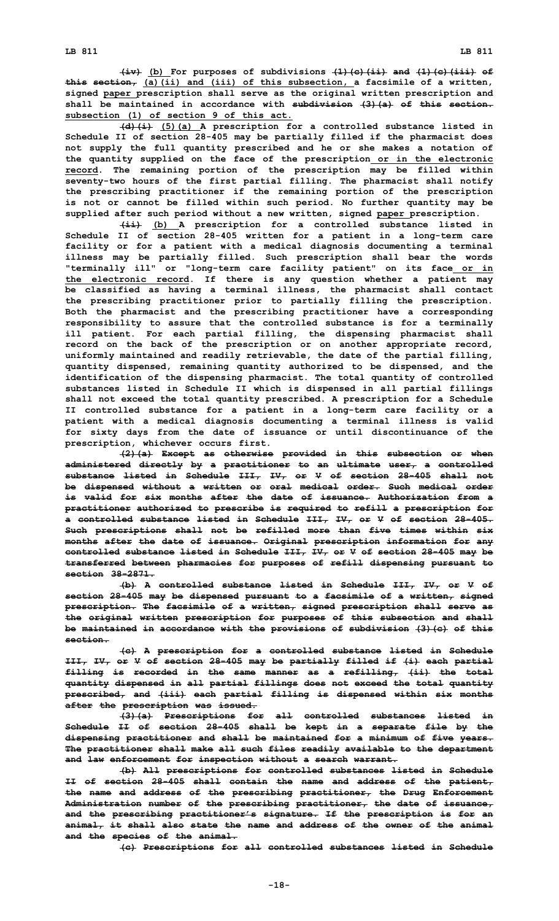**(iv) (b) For purposes of subdivisions (1)(c)(ii) and (1)(c)(iii) of this section, (a)(ii) and (iii) of this subsection, <sup>a</sup> facsimile of <sup>a</sup> written, signed paper prescription shall serve as the original written prescription and shall be maintained in accordance with subdivision (3)(a) of this section. subsection (1) of section 9 of this act.**

**(d)(i) (5)(a) <sup>A</sup> prescription for <sup>a</sup> controlled substance listed in Schedule II of section 28-405 may be partially filled if the pharmacist does not supply the full quantity prescribed and he or she makes <sup>a</sup> notation of the quantity supplied on the face of the prescription or in the electronic record. The remaining portion of the prescription may be filled within seventy-two hours of the first partial filling. The pharmacist shall notify the prescribing practitioner if the remaining portion of the prescription is not or cannot be filled within such period. No further quantity may be supplied after such period without <sup>a</sup> new written, signed paper prescription.**

**(ii) (b) <sup>A</sup> prescription for <sup>a</sup> controlled substance listed in Schedule II of section 28-405 written for <sup>a</sup> patient in <sup>a</sup> long-term care facility or for <sup>a</sup> patient with <sup>a</sup> medical diagnosis documenting <sup>a</sup> terminal illness may be partially filled. Such prescription shall bear the words "terminally ill" or "long-term care facility patient" on its face or in the electronic record. If there is any question whether <sup>a</sup> patient may be classified as having <sup>a</sup> terminal illness, the pharmacist shall contact the prescribing practitioner prior to partially filling the prescription. Both the pharmacist and the prescribing practitioner have <sup>a</sup> corresponding responsibility to assure that the controlled substance is for <sup>a</sup> terminally ill patient. For each partial filling, the dispensing pharmacist shall record on the back of the prescription or on another appropriate record, uniformly maintained and readily retrievable, the date of the partial filling, quantity dispensed, remaining quantity authorized to be dispensed, and the identification of the dispensing pharmacist. The total quantity of controlled substances listed in Schedule II which is dispensed in all partial fillings shall not exceed the total quantity prescribed. A prescription for <sup>a</sup> Schedule II controlled substance for <sup>a</sup> patient in <sup>a</sup> long-term care facility or <sup>a</sup> patient with <sup>a</sup> medical diagnosis documenting <sup>a</sup> terminal illness is valid for sixty days from the date of issuance or until discontinuance of the prescription, whichever occurs first.**

**(2)(a) Except as otherwise provided in this subsection or when administered directly by <sup>a</sup> practitioner to an ultimate user, <sup>a</sup> controlled substance listed in Schedule III, IV, or V of section 28-405 shall not be dispensed without <sup>a</sup> written or oral medical order. Such medical order is valid for six months after the date of issuance. Authorization from a practitioner authorized to prescribe is required to refill <sup>a</sup> prescription for <sup>a</sup> controlled substance listed in Schedule III, IV, or V of section 28-405. Such prescriptions shall not be refilled more than five times within six months after the date of issuance. Original prescription information for any controlled substance listed in Schedule III, IV, or <sup>V</sup> of section 28-405 may be transferred between pharmacies for purposes of refill dispensing pursuant to section 38-2871.**

**(b) A controlled substance listed in Schedule III, IV, or V of section 28-405 may be dispensed pursuant to <sup>a</sup> facsimile of <sup>a</sup> written, signed prescription. The facsimile of <sup>a</sup> written, signed prescription shall serve as the original written prescription for purposes of this subsection and shall be maintained in accordance with the provisions of subdivision (3)(c) of this section.**

**(c) <sup>A</sup> prescription for <sup>a</sup> controlled substance listed in Schedule III, IV, or <sup>V</sup> of section 28-405 may be partially filled if (i) each partial filling is recorded in the same manner as <sup>a</sup> refilling, (ii) the total quantity dispensed in all partial fillings does not exceed the total quantity prescribed, and (iii) each partial filling is dispensed within six months after the prescription was issued.**

**(3)(a) Prescriptions for all controlled substances listed in Schedule II of section 28-405 shall be kept in <sup>a</sup> separate file by the dispensing practitioner and shall be maintained for <sup>a</sup> minimum of five years. The practitioner shall make all such files readily available to the department and law enforcement for inspection without <sup>a</sup> search warrant.**

**(b) All prescriptions for controlled substances listed in Schedule II of section 28-405 shall contain the name and address of the patient, the name and address of the prescribing practitioner, the Drug Enforcement Administration number of the prescribing practitioner, the date of issuance, and the prescribing practitioner's signature. If the prescription is for an animal, it shall also state the name and address of the owner of the animal and the species of the animal.**

**(c) Prescriptions for all controlled substances listed in Schedule**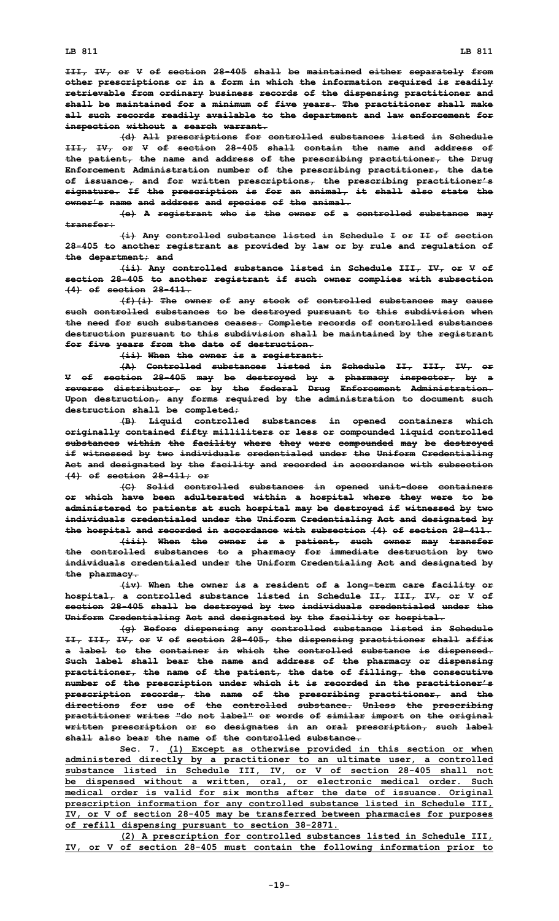**III, IV, or <sup>V</sup> of section 28-405 shall be maintained either separately from other prescriptions or in <sup>a</sup> form in which the information required is readily retrievable from ordinary business records of the dispensing practitioner and shall be maintained for <sup>a</sup> minimum of five years. The practitioner shall make all such records readily available to the department and law enforcement for inspection without <sup>a</sup> search warrant.**

**(d) All prescriptions for controlled substances listed in Schedule III, IV, or V of section 28-405 shall contain the name and address of the patient, the name and address of the prescribing practitioner, the Drug Enforcement Administration number of the prescribing practitioner, the date of issuance, and for written prescriptions, the prescribing practitioner's signature. If the prescription is for an animal, it shall also state the owner's name and address and species of the animal.**

**(e) <sup>A</sup> registrant who is the owner of <sup>a</sup> controlled substance may transfer:**

**(i) Any controlled substance listed in Schedule <sup>I</sup> or II of section 28-405 to another registrant as provided by law or by rule and regulation of the department; and**

**(ii) Any controlled substance listed in Schedule III, IV, or <sup>V</sup> of section 28-405 to another registrant if such owner complies with subsection (4) of section 28-411.**

**(f)(i) The owner of any stock of controlled substances may cause such controlled substances to be destroyed pursuant to this subdivision when the need for such substances ceases. Complete records of controlled substances destruction pursuant to this subdivision shall be maintained by the registrant for five years from the date of destruction.**

**(ii) When the owner is <sup>a</sup> registrant:**

**(A) Controlled substances listed in Schedule II, III, IV, or <sup>V</sup> of section 28-405 may be destroyed by <sup>a</sup> pharmacy inspector, by <sup>a</sup> reverse distributor, or by the federal Drug Enforcement Administration. Upon destruction, any forms required by the administration to document such destruction shall be completed;**

**(B) Liquid controlled substances in opened containers which originally contained fifty milliliters or less or compounded liquid controlled substances within the facility where they were compounded may be destroyed if witnessed by two individuals credentialed under the Uniform Credentialing Act and designated by the facility and recorded in accordance with subsection (4) of section 28-411; or**

**(C) Solid controlled substances in opened unit-dose containers or which have been adulterated within <sup>a</sup> hospital where they were to be administered to patients at such hospital may be destroyed if witnessed by two individuals credentialed under the Uniform Credentialing Act and designated by the hospital and recorded in accordance with subsection (4) of section 28-411.**

**(iii) When the owner is <sup>a</sup> patient, such owner may transfer the controlled substances to <sup>a</sup> pharmacy for immediate destruction by two individuals credentialed under the Uniform Credentialing Act and designated by the pharmacy.**

**(iv) When the owner is <sup>a</sup> resident of <sup>a</sup> long-term care facility or hospital, <sup>a</sup> controlled substance listed in Schedule II, III, IV, or V of section 28-405 shall be destroyed by two individuals credentialed under the Uniform Credentialing Act and designated by the facility or hospital.**

**(g) Before dispensing any controlled substance listed in Schedule II, III, IV, or <sup>V</sup> of section 28-405, the dispensing practitioner shall affix <sup>a</sup> label to the container in which the controlled substance is dispensed. Such label shall bear the name and address of the pharmacy or dispensing practitioner, the name of the patient, the date of filling, the consecutive number of the prescription under which it is recorded in the practitioner's prescription records, the name of the prescribing practitioner, and the directions for use of the controlled substance. Unless the prescribing practitioner writes "do not label" or words of similar import on the original written prescription or so designates in an oral prescription, such label shall also bear the name of the controlled substance.**

**Sec. 7. (1) Except as otherwise provided in this section or when administered directly by <sup>a</sup> practitioner to an ultimate user, <sup>a</sup> controlled substance listed in Schedule III, IV, or V of section 28-405 shall not be dispensed without <sup>a</sup> written, oral, or electronic medical order. Such medical order is valid for six months after the date of issuance. Original prescription information for any controlled substance listed in Schedule III, IV, or <sup>V</sup> of section 28-405 may be transferred between pharmacies for purposes of refill dispensing pursuant to section 38-2871.**

**(2) <sup>A</sup> prescription for controlled substances listed in Schedule III, IV, or <sup>V</sup> of section 28-405 must contain the following information prior to**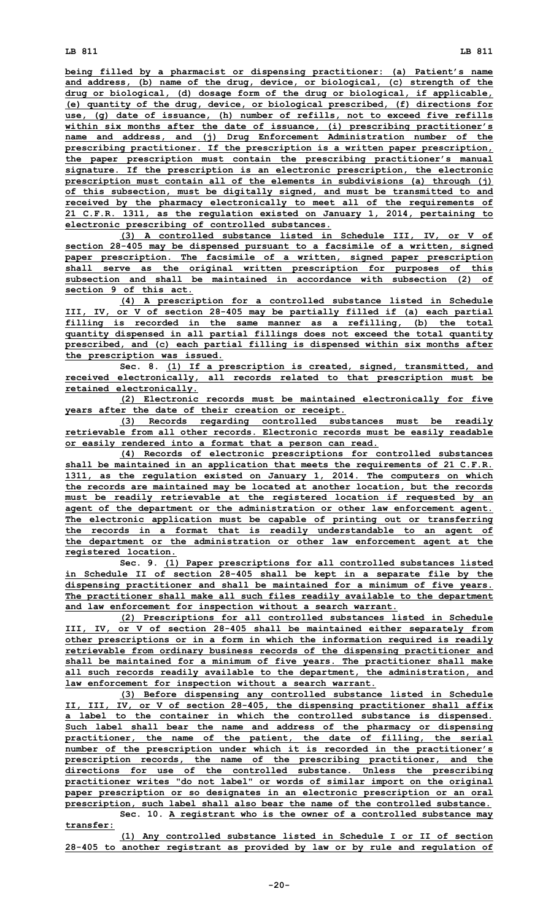**being filled by <sup>a</sup> pharmacist or dispensing practitioner: (a) Patient's name and address, (b) name of the drug, device, or biological, (c) strength of the drug or biological, (d) dosage form of the drug or biological, if applicable, (e) quantity of the drug, device, or biological prescribed, (f) directions for use, (g) date of issuance, (h) number of refills, not to exceed five refills within six months after the date of issuance, (i) prescribing practitioner's name and address, and (j) Drug Enforcement Administration number of the prescribing practitioner. If the prescription is <sup>a</sup> written paper prescription, the paper prescription must contain the prescribing practitioner's manual signature. If the prescription is an electronic prescription, the electronic prescription must contain all of the elements in subdivisions (a) through (j) of this subsection, must be digitally signed, and must be transmitted to and received by the pharmacy electronically to meet all of the requirements of 21 C.F.R. 1311, as the regulation existed on January 1, 2014, pertaining to electronic prescribing of controlled substances.**

**(3) A controlled substance listed in Schedule III, IV, or V of section 28-405 may be dispensed pursuant to <sup>a</sup> facsimile of <sup>a</sup> written, signed paper prescription. The facsimile of <sup>a</sup> written, signed paper prescription shall serve as the original written prescription for purposes of this subsection and shall be maintained in accordance with subsection (2) of section 9 of this act.**

**(4) <sup>A</sup> prescription for <sup>a</sup> controlled substance listed in Schedule III, IV, or <sup>V</sup> of section 28-405 may be partially filled if (a) each partial filling is recorded in the same manner as <sup>a</sup> refilling, (b) the total quantity dispensed in all partial fillings does not exceed the total quantity prescribed, and (c) each partial filling is dispensed within six months after the prescription was issued.**

**Sec. 8. (1) If <sup>a</sup> prescription is created, signed, transmitted, and received electronically, all records related to that prescription must be retained electronically.**

**(2) Electronic records must be maintained electronically for five years after the date of their creation or receipt.**

**(3) Records regarding controlled substances must be readily retrievable from all other records. Electronic records must be easily readable or easily rendered into <sup>a</sup> format that <sup>a</sup> person can read.**

**(4) Records of electronic prescriptions for controlled substances shall be maintained in an application that meets the requirements of 21 C.F.R. 1311, as the regulation existed on January 1, 2014. The computers on which the records are maintained may be located at another location, but the records must be readily retrievable at the registered location if requested by an agent of the department or the administration or other law enforcement agent. The electronic application must be capable of printing out or transferring the records in <sup>a</sup> format that is readily understandable to an agent of the department or the administration or other law enforcement agent at the registered location.**

**Sec. 9. (1) Paper prescriptions for all controlled substances listed in Schedule II of section 28-405 shall be kept in <sup>a</sup> separate file by the dispensing practitioner and shall be maintained for <sup>a</sup> minimum of five years. The practitioner shall make all such files readily available to the department and law enforcement for inspection without <sup>a</sup> search warrant.**

**(2) Prescriptions for all controlled substances listed in Schedule III, IV, or <sup>V</sup> of section 28-405 shall be maintained either separately from other prescriptions or in <sup>a</sup> form in which the information required is readily retrievable from ordinary business records of the dispensing practitioner and shall be maintained for <sup>a</sup> minimum of five years. The practitioner shall make all such records readily available to the department, the administration, and law enforcement for inspection without <sup>a</sup> search warrant.**

**(3) Before dispensing any controlled substance listed in Schedule II, III, IV, or <sup>V</sup> of section 28-405, the dispensing practitioner shall affix <sup>a</sup> label to the container in which the controlled substance is dispensed. Such label shall bear the name and address of the pharmacy or dispensing practitioner, the name of the patient, the date of filling, the serial number of the prescription under which it is recorded in the practitioner's prescription records, the name of the prescribing practitioner, and the directions for use of the controlled substance. Unless the prescribing practitioner writes "do not label" or words of similar import on the original paper prescription or so designates in an electronic prescription or an oral prescription, such label shall also bear the name of the controlled substance.**

**Sec. 10. <sup>A</sup> registrant who is the owner of <sup>a</sup> controlled substance may transfer:**

**(1) Any controlled substance listed in Schedule <sup>I</sup> or II of section 28-405 to another registrant as provided by law or by rule and regulation of**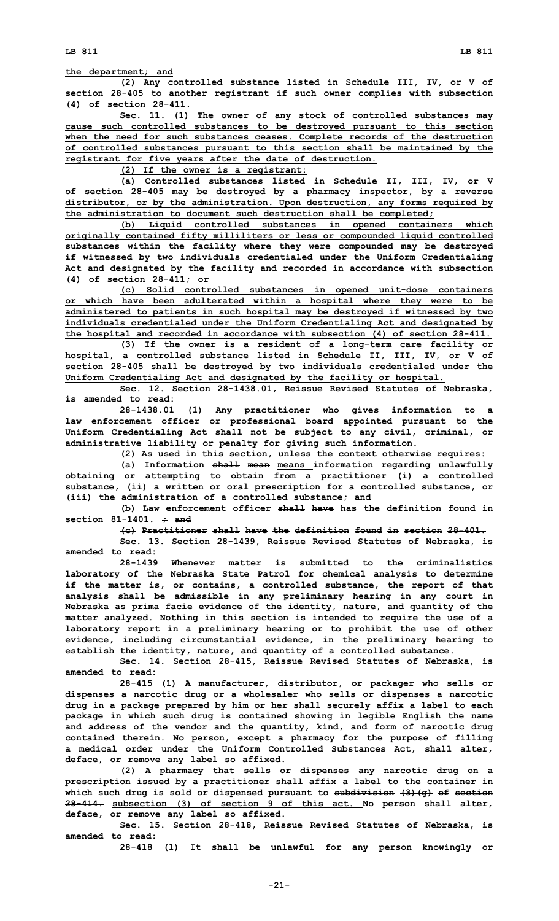**the department; and**

**(2) Any controlled substance listed in Schedule III, IV, or <sup>V</sup> of section 28-405 to another registrant if such owner complies with subsection (4) of section 28-411.**

**Sec. 11. (1) The owner of any stock of controlled substances may cause such controlled substances to be destroyed pursuant to this section when the need for such substances ceases. Complete records of the destruction of controlled substances pursuant to this section shall be maintained by the registrant for five years after the date of destruction.**

**(2) If the owner is <sup>a</sup> registrant:**

**(a) Controlled substances listed in Schedule II, III, IV, or V of section 28-405 may be destroyed by <sup>a</sup> pharmacy inspector, by <sup>a</sup> reverse distributor, or by the administration. Upon destruction, any forms required by the administration to document such destruction shall be completed;**

**(b) Liquid controlled substances in opened containers which originally contained fifty milliliters or less or compounded liquid controlled substances within the facility where they were compounded may be destroyed if witnessed by two individuals credentialed under the Uniform Credentialing Act and designated by the facility and recorded in accordance with subsection (4) of section 28-411; or**

**(c) Solid controlled substances in opened unit-dose containers or which have been adulterated within <sup>a</sup> hospital where they were to be administered to patients in such hospital may be destroyed if witnessed by two individuals credentialed under the Uniform Credentialing Act and designated by the hospital and recorded in accordance with subsection (4) of section 28-411.**

**(3) If the owner is <sup>a</sup> resident of <sup>a</sup> long-term care facility or hospital, <sup>a</sup> controlled substance listed in Schedule II, III, IV, or V of section 28-405 shall be destroyed by two individuals credentialed under the Uniform Credentialing Act and designated by the facility or hospital.**

**Sec. 12. Section 28-1438.01, Reissue Revised Statutes of Nebraska, is amended to read:**

**28-1438.01 (1) Any practitioner who gives information to <sup>a</sup> law enforcement officer or professional board appointed pursuant to the Uniform Credentialing Act shall not be subject to any civil, criminal, or administrative liability or penalty for giving such information.**

**(2) As used in this section, unless the context otherwise requires: (a) Information shall mean means information regarding unlawfully obtaining or attempting to obtain from <sup>a</sup> practitioner (i) <sup>a</sup> controlled substance, (ii) <sup>a</sup> written or oral prescription for <sup>a</sup> controlled substance, or (iii) the administration of <sup>a</sup> controlled substance; and**

**(b) Law enforcement officer shall have has the definition found in section 81-1401. ; and**

**(c) Practitioner shall have the definition found in section 28-401.**

**Sec. 13. Section 28-1439, Reissue Revised Statutes of Nebraska, is amended to read:**

**28-1439 Whenever matter is submitted to the criminalistics laboratory of the Nebraska State Patrol for chemical analysis to determine if the matter is, or contains, <sup>a</sup> controlled substance, the report of that analysis shall be admissible in any preliminary hearing in any court in Nebraska as prima facie evidence of the identity, nature, and quantity of the matter analyzed. Nothing in this section is intended to require the use of <sup>a</sup> laboratory report in <sup>a</sup> preliminary hearing or to prohibit the use of other evidence, including circumstantial evidence, in the preliminary hearing to establish the identity, nature, and quantity of <sup>a</sup> controlled substance.**

**Sec. 14. Section 28-415, Reissue Revised Statutes of Nebraska, is amended to read:**

**28-415 (1) <sup>A</sup> manufacturer, distributor, or packager who sells or dispenses <sup>a</sup> narcotic drug or <sup>a</sup> wholesaler who sells or dispenses <sup>a</sup> narcotic drug in <sup>a</sup> package prepared by him or her shall securely affix <sup>a</sup> label to each package in which such drug is contained showing in legible English the name and address of the vendor and the quantity, kind, and form of narcotic drug contained therein. No person, except <sup>a</sup> pharmacy for the purpose of filling <sup>a</sup> medical order under the Uniform Controlled Substances Act, shall alter, deface, or remove any label so affixed.**

**(2) <sup>A</sup> pharmacy that sells or dispenses any narcotic drug on <sup>a</sup> prescription issued by <sup>a</sup> practitioner shall affix <sup>a</sup> label to the container in which such drug is sold or dispensed pursuant to subdivision (3)(g) of section 28-414. subsection (3) of section 9 of this act. No person shall alter, deface, or remove any label so affixed.**

**Sec. 15. Section 28-418, Reissue Revised Statutes of Nebraska, is amended to read:**

**28-418 (1) It shall be unlawful for any person knowingly or**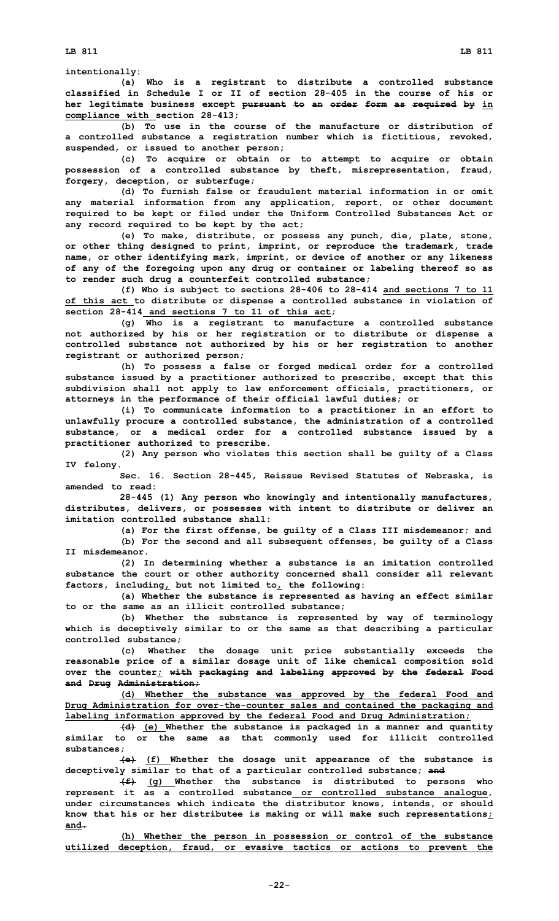**intentionally:**

**(a) Who is <sup>a</sup> registrant to distribute <sup>a</sup> controlled substance classified in Schedule I or II of section 28-405 in the course of his or her legitimate business except pursuant to an order form as required by in compliance with section 28-413;**

**(b) To use in the course of the manufacture or distribution of <sup>a</sup> controlled substance <sup>a</sup> registration number which is fictitious, revoked, suspended, or issued to another person;**

**(c) To acquire or obtain or to attempt to acquire or obtain possession of <sup>a</sup> controlled substance by theft, misrepresentation, fraud, forgery, deception, or subterfuge;**

**(d) To furnish false or fraudulent material information in or omit any material information from any application, report, or other document required to be kept or filed under the Uniform Controlled Substances Act or any record required to be kept by the act;**

**(e) To make, distribute, or possess any punch, die, plate, stone, or other thing designed to print, imprint, or reproduce the trademark, trade name, or other identifying mark, imprint, or device of another or any likeness of any of the foregoing upon any drug or container or labeling thereof so as to render such drug <sup>a</sup> counterfeit controlled substance;**

**(f) Who is subject to sections 28-406 to 28-414 and sections 7 to 11 of this act to distribute or dispense <sup>a</sup> controlled substance in violation of section 28-414 and sections 7 to 11 of this act;**

**(g) Who is <sup>a</sup> registrant to manufacture <sup>a</sup> controlled substance not authorized by his or her registration or to distribute or dispense <sup>a</sup> controlled substance not authorized by his or her registration to another registrant or authorized person;**

**(h) To possess <sup>a</sup> false or forged medical order for <sup>a</sup> controlled substance issued by <sup>a</sup> practitioner authorized to prescribe, except that this subdivision shall not apply to law enforcement officials, practitioners, or attorneys in the performance of their official lawful duties; or**

**(i) To communicate information to <sup>a</sup> practitioner in an effort to unlawfully procure <sup>a</sup> controlled substance, the administration of <sup>a</sup> controlled substance, or <sup>a</sup> medical order for <sup>a</sup> controlled substance issued by <sup>a</sup> practitioner authorized to prescribe.**

**(2) Any person who violates this section shall be guilty of <sup>a</sup> Class IV felony.**

**Sec. 16. Section 28-445, Reissue Revised Statutes of Nebraska, is amended to read:**

**28-445 (1) Any person who knowingly and intentionally manufactures, distributes, delivers, or possesses with intent to distribute or deliver an imitation controlled substance shall:**

**(a) For the first offense, be guilty of <sup>a</sup> Class III misdemeanor; and (b) For the second and all subsequent offenses, be guilty of <sup>a</sup> Class II misdemeanor.**

**(2) In determining whether <sup>a</sup> substance is an imitation controlled substance the court or other authority concerned shall consider all relevant factors, including, but not limited to, the following:**

**(a) Whether the substance is represented as having an effect similar to or the same as an illicit controlled substance;**

**(b) Whether the substance is represented by way of terminology which is deceptively similar to or the same as that describing <sup>a</sup> particular controlled substance;**

**(c) Whether the dosage unit price substantially exceeds the reasonable price of <sup>a</sup> similar dosage unit of like chemical composition sold over the counter; with packaging and labeling approved by the federal Food and Drug Administration;**

**(d) Whether the substance was approved by the federal Food and Drug Administration for over-the-counter sales and contained the packaging and labeling information approved by the federal Food and Drug Administration;**

**(d) (e) Whether the substance is packaged in <sup>a</sup> manner and quantity similar to or the same as that commonly used for illicit controlled substances;**

**(e) (f) Whether the dosage unit appearance of the substance is deceptively similar to that of <sup>a</sup> particular controlled substance; and**

**(f) (g) Whether the substance is distributed to persons who represent it as <sup>a</sup> controlled substance or controlled substance analogue, under circumstances which indicate the distributor knows, intends, or should know that his or her distributee is making or will make such representations; and.**

**(h) Whether the person in possession or control of the substance utilized deception, fraud, or evasive tactics or actions to prevent the**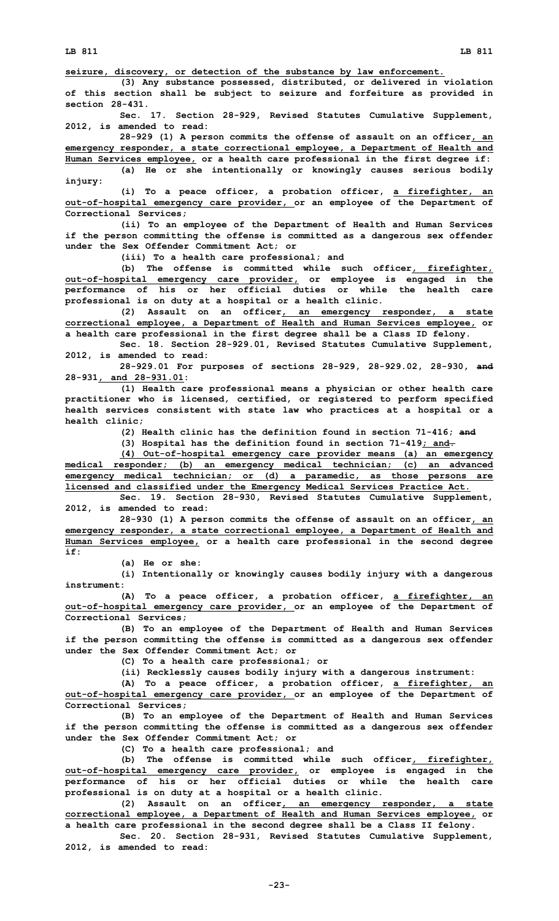**seizure, discovery, or detection of the substance by law enforcement.**

**(3) Any substance possessed, distributed, or delivered in violation of this section shall be subject to seizure and forfeiture as provided in section 28-431.**

**Sec. 17. Section 28-929, Revised Statutes Cumulative Supplement, 2012, is amended to read:**

**28-929 (1) <sup>A</sup> person commits the offense of assault on an officer, an emergency responder, <sup>a</sup> state correctional employee, <sup>a</sup> Department of Health and Human Services employee, or <sup>a</sup> health care professional in the first degree if: (a) He or she intentionally or knowingly causes serious bodily**

**injury:**

**(i) To <sup>a</sup> peace officer, <sup>a</sup> probation officer, <sup>a</sup> firefighter, an out-of-hospital emergency care provider, or an employee of the Department of Correctional Services;**

**(ii) To an employee of the Department of Health and Human Services if the person committing the offense is committed as <sup>a</sup> dangerous sex offender under the Sex Offender Commitment Act; or**

**(iii) To <sup>a</sup> health care professional; and**

**(b) The offense is committed while such officer, firefighter, out-of-hospital emergency care provider, or employee is engaged in the performance of his or her official duties or while the health care professional is on duty at <sup>a</sup> hospital or <sup>a</sup> health clinic.**

**(2) Assault on an officer, an emergency responder, <sup>a</sup> state correctional employee, <sup>a</sup> Department of Health and Human Services employee, or <sup>a</sup> health care professional in the first degree shall be <sup>a</sup> Class ID felony.**

**Sec. 18. Section 28-929.01, Revised Statutes Cumulative Supplement, 2012, is amended to read:**

**28-929.01 For purposes of sections 28-929, 28-929.02, 28-930, and 28-931, and 28-931.01:**

**(1) Health care professional means <sup>a</sup> physician or other health care practitioner who is licensed, certified, or registered to perform specified health services consistent with state law who practices at <sup>a</sup> hospital or <sup>a</sup> health clinic;**

**(2) Health clinic has the definition found in section 71-416; and**

**(3) Hospital has the definition found in section 71-419; and.**

**(4) Out-of-hospital emergency care provider means (a) an emergency medical responder; (b) an emergency medical technician; (c) an advanced emergency medical technician; or (d) <sup>a</sup> paramedic, as those persons are licensed and classified under the Emergency Medical Services Practice Act.**

**Sec. 19. Section 28-930, Revised Statutes Cumulative Supplement, 2012, is amended to read:**

**28-930 (1) <sup>A</sup> person commits the offense of assault on an officer, an emergency responder, <sup>a</sup> state correctional employee, <sup>a</sup> Department of Health and Human Services employee, or <sup>a</sup> health care professional in the second degree if:**

**(a) He or she:**

**(i) Intentionally or knowingly causes bodily injury with <sup>a</sup> dangerous instrument:**

**(A) To <sup>a</sup> peace officer, <sup>a</sup> probation officer, <sup>a</sup> firefighter, an out-of-hospital emergency care provider, or an employee of the Department of Correctional Services;**

**(B) To an employee of the Department of Health and Human Services if the person committing the offense is committed as <sup>a</sup> dangerous sex offender under the Sex Offender Commitment Act; or**

**(C) To <sup>a</sup> health care professional; or**

**(ii) Recklessly causes bodily injury with <sup>a</sup> dangerous instrument:**

**(A) To <sup>a</sup> peace officer, <sup>a</sup> probation officer, <sup>a</sup> firefighter, an out-of-hospital emergency care provider, or an employee of the Department of Correctional Services;**

**(B) To an employee of the Department of Health and Human Services if the person committing the offense is committed as <sup>a</sup> dangerous sex offender under the Sex Offender Commitment Act; or**

**(C) To <sup>a</sup> health care professional; and**

**(b) The offense is committed while such officer, firefighter, out-of-hospital emergency care provider, or employee is engaged in the performance of his or her official duties or while the health care professional is on duty at <sup>a</sup> hospital or <sup>a</sup> health clinic.**

**(2) Assault on an officer, an emergency responder, <sup>a</sup> state correctional employee, <sup>a</sup> Department of Health and Human Services employee, or <sup>a</sup> health care professional in the second degree shall be <sup>a</sup> Class II felony.**

**Sec. 20. Section 28-931, Revised Statutes Cumulative Supplement, 2012, is amended to read:**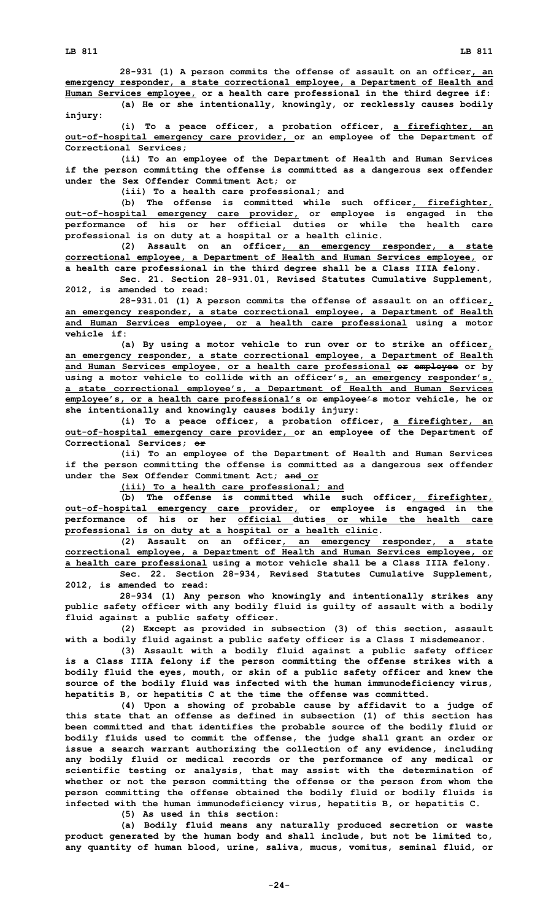**(a) He or she intentionally, knowingly, or recklessly causes bodily injury:**

**(i) To <sup>a</sup> peace officer, <sup>a</sup> probation officer, <sup>a</sup> firefighter, an out-of-hospital emergency care provider, or an employee of the Department of Correctional Services;**

**(ii) To an employee of the Department of Health and Human Services if the person committing the offense is committed as <sup>a</sup> dangerous sex offender under the Sex Offender Commitment Act; or**

**(iii) To <sup>a</sup> health care professional; and**

**(b) The offense is committed while such officer, firefighter, out-of-hospital emergency care provider, or employee is engaged in the performance of his or her official duties or while the health care professional is on duty at <sup>a</sup> hospital or <sup>a</sup> health clinic.**

**(2) Assault on an officer, an emergency responder, <sup>a</sup> state correctional employee, <sup>a</sup> Department of Health and Human Services employee, or <sup>a</sup> health care professional in the third degree shall be <sup>a</sup> Class IIIA felony.**

**Sec. 21. Section 28-931.01, Revised Statutes Cumulative Supplement, 2012, is amended to read:**

**28-931.01 (1) <sup>A</sup> person commits the offense of assault on an officer, an emergency responder, <sup>a</sup> state correctional employee, <sup>a</sup> Department of Health and Human Services employee, or <sup>a</sup> health care professional using <sup>a</sup> motor vehicle if:**

**(a) By using <sup>a</sup> motor vehicle to run over or to strike an officer, an emergency responder, <sup>a</sup> state correctional employee, <sup>a</sup> Department of Health and Human Services employee, or <sup>a</sup> health care professional or employee or by using <sup>a</sup> motor vehicle to collide with an officer's, an emergency responder's, <sup>a</sup> state correctional employee's, <sup>a</sup> Department of Health and Human Services employee's, or <sup>a</sup> health care professional's or employee's motor vehicle, he or she intentionally and knowingly causes bodily injury:**

**(i) To <sup>a</sup> peace officer, <sup>a</sup> probation officer, <sup>a</sup> firefighter, an out-of-hospital emergency care provider, or an employee of the Department of Correctional Services; or**

**(ii) To an employee of the Department of Health and Human Services if the person committing the offense is committed as <sup>a</sup> dangerous sex offender under the Sex Offender Commitment Act; and or**

**(iii) To <sup>a</sup> health care professional; and**

**(b) The offense is committed while such officer, firefighter, out-of-hospital emergency care provider, or employee is engaged in the performance of his or her official duties or while the health care professional is on duty at <sup>a</sup> hospital or <sup>a</sup> health clinic.**

**(2) Assault on an officer, an emergency responder, <sup>a</sup> state correctional employee, <sup>a</sup> Department of Health and Human Services employee, or <sup>a</sup> health care professional using <sup>a</sup> motor vehicle shall be <sup>a</sup> Class IIIA felony.**

**Sec. 22. Section 28-934, Revised Statutes Cumulative Supplement, 2012, is amended to read:**

**28-934 (1) Any person who knowingly and intentionally strikes any public safety officer with any bodily fluid is guilty of assault with <sup>a</sup> bodily fluid against <sup>a</sup> public safety officer.**

**(2) Except as provided in subsection (3) of this section, assault with <sup>a</sup> bodily fluid against <sup>a</sup> public safety officer is <sup>a</sup> Class I misdemeanor.**

**(3) Assault with <sup>a</sup> bodily fluid against <sup>a</sup> public safety officer is <sup>a</sup> Class IIIA felony if the person committing the offense strikes with <sup>a</sup> bodily fluid the eyes, mouth, or skin of <sup>a</sup> public safety officer and knew the source of the bodily fluid was infected with the human immunodeficiency virus, hepatitis B, or hepatitis C at the time the offense was committed.**

**(4) Upon <sup>a</sup> showing of probable cause by affidavit to <sup>a</sup> judge of this state that an offense as defined in subsection (1) of this section has been committed and that identifies the probable source of the bodily fluid or bodily fluids used to commit the offense, the judge shall grant an order or issue <sup>a</sup> search warrant authorizing the collection of any evidence, including any bodily fluid or medical records or the performance of any medical or scientific testing or analysis, that may assist with the determination of whether or not the person committing the offense or the person from whom the person committing the offense obtained the bodily fluid or bodily fluids is infected with the human immunodeficiency virus, hepatitis B, or hepatitis C.**

**(5) As used in this section:**

**(a) Bodily fluid means any naturally produced secretion or waste product generated by the human body and shall include, but not be limited to, any quantity of human blood, urine, saliva, mucus, vomitus, seminal fluid, or**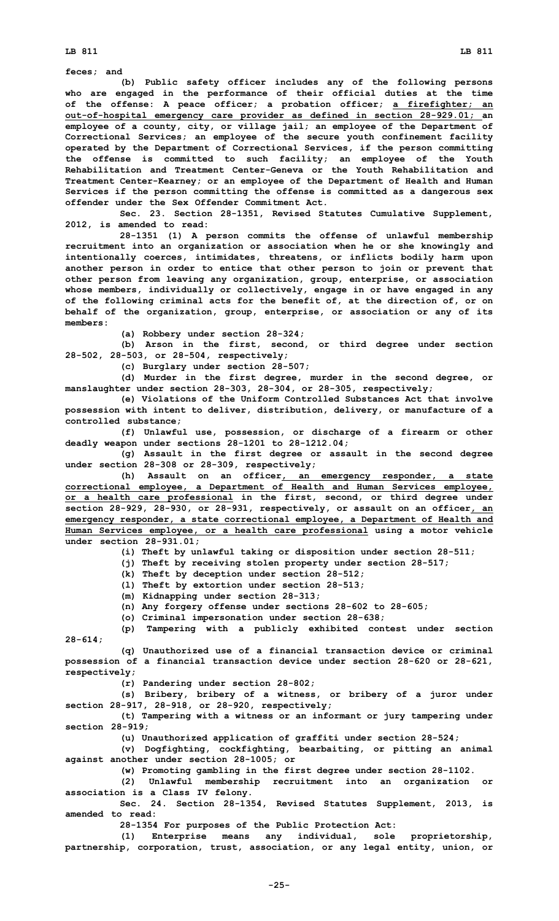**LB 811 LB 811**

**feces; and**

**(b) Public safety officer includes any of the following persons who are engaged in the performance of their official duties at the time of the offense: A peace officer; <sup>a</sup> probation officer; <sup>a</sup> firefighter; an out-of-hospital emergency care provider as defined in section 28-929.01; an employee of <sup>a</sup> county, city, or village jail; an employee of the Department of Correctional Services; an employee of the secure youth confinement facility operated by the Department of Correctional Services, if the person committing the offense is committed to such facility; an employee of the Youth Rehabilitation and Treatment Center-Geneva or the Youth Rehabilitation and Treatment Center-Kearney; or an employee of the Department of Health and Human Services if the person committing the offense is committed as <sup>a</sup> dangerous sex offender under the Sex Offender Commitment Act.**

**Sec. 23. Section 28-1351, Revised Statutes Cumulative Supplement, 2012, is amended to read:**

**28-1351 (1) <sup>A</sup> person commits the offense of unlawful membership recruitment into an organization or association when he or she knowingly and intentionally coerces, intimidates, threatens, or inflicts bodily harm upon another person in order to entice that other person to join or prevent that other person from leaving any organization, group, enterprise, or association whose members, individually or collectively, engage in or have engaged in any of the following criminal acts for the benefit of, at the direction of, or on behalf of the organization, group, enterprise, or association or any of its members:**

**(a) Robbery under section 28-324;**

**(b) Arson in the first, second, or third degree under section 28-502, 28-503, or 28-504, respectively;**

**(c) Burglary under section 28-507;**

**(d) Murder in the first degree, murder in the second degree, or manslaughter under section 28-303, 28-304, or 28-305, respectively;**

**(e) Violations of the Uniform Controlled Substances Act that involve possession with intent to deliver, distribution, delivery, or manufacture of <sup>a</sup> controlled substance;**

**(f) Unlawful use, possession, or discharge of <sup>a</sup> firearm or other deadly weapon under sections 28-1201 to 28-1212.04;**

**(g) Assault in the first degree or assault in the second degree under section 28-308 or 28-309, respectively;**

**(h) Assault on an officer, an emergency responder, <sup>a</sup> state correctional employee, <sup>a</sup> Department of Health and Human Services employee, or <sup>a</sup> health care professional in the first, second, or third degree under section 28-929, 28-930, or 28-931, respectively, or assault on an officer, an emergency responder, <sup>a</sup> state correctional employee, <sup>a</sup> Department of Health and Human Services employee, or <sup>a</sup> health care professional using <sup>a</sup> motor vehicle under section 28-931.01;**

**(i) Theft by unlawful taking or disposition under section 28-511;**

**(j) Theft by receiving stolen property under section 28-517;**

- **(k) Theft by deception under section 28-512;**
- **(l) Theft by extortion under section 28-513;**

**(m) Kidnapping under section 28-313;**

**(n) Any forgery offense under sections 28-602 to 28-605;**

**(o) Criminal impersonation under section 28-638;**

**(p) Tampering with <sup>a</sup> publicly exhibited contest under section 28-614;**

**(q) Unauthorized use of <sup>a</sup> financial transaction device or criminal possession of <sup>a</sup> financial transaction device under section 28-620 or 28-621, respectively;**

**(r) Pandering under section 28-802;**

**(s) Bribery, bribery of <sup>a</sup> witness, or bribery of <sup>a</sup> juror under section 28-917, 28-918, or 28-920, respectively;**

**(t) Tampering with <sup>a</sup> witness or an informant or jury tampering under section 28-919;**

**(u) Unauthorized application of graffiti under section 28-524;**

**(v) Dogfighting, cockfighting, bearbaiting, or pitting an animal against another under section 28-1005; or**

**(w) Promoting gambling in the first degree under section 28-1102.**

**(2) Unlawful membership recruitment into an organization or association is <sup>a</sup> Class IV felony.**

**Sec. 24. Section 28-1354, Revised Statutes Supplement, 2013, is amended to read:**

**28-1354 For purposes of the Public Protection Act:**

**(1) Enterprise means any individual, sole proprietorship, partnership, corporation, trust, association, or any legal entity, union, or**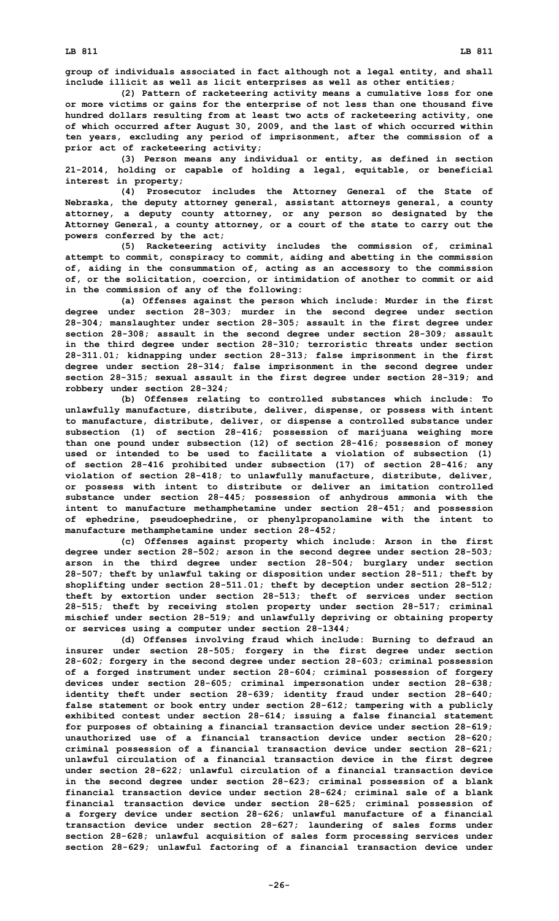**group of individuals associated in fact although not <sup>a</sup> legal entity, and shall include illicit as well as licit enterprises as well as other entities;**

**(2) Pattern of racketeering activity means <sup>a</sup> cumulative loss for one or more victims or gains for the enterprise of not less than one thousand five hundred dollars resulting from at least two acts of racketeering activity, one of which occurred after August 30, 2009, and the last of which occurred within ten years, excluding any period of imprisonment, after the commission of <sup>a</sup> prior act of racketeering activity;**

**(3) Person means any individual or entity, as defined in section 21-2014, holding or capable of holding <sup>a</sup> legal, equitable, or beneficial interest in property;**

**(4) Prosecutor includes the Attorney General of the State of Nebraska, the deputy attorney general, assistant attorneys general, <sup>a</sup> county attorney, <sup>a</sup> deputy county attorney, or any person so designated by the Attorney General, <sup>a</sup> county attorney, or <sup>a</sup> court of the state to carry out the powers conferred by the act;**

**(5) Racketeering activity includes the commission of, criminal attempt to commit, conspiracy to commit, aiding and abetting in the commission of, aiding in the consummation of, acting as an accessory to the commission of, or the solicitation, coercion, or intimidation of another to commit or aid in the commission of any of the following:**

**(a) Offenses against the person which include: Murder in the first degree under section 28-303; murder in the second degree under section 28-304; manslaughter under section 28-305; assault in the first degree under section 28-308; assault in the second degree under section 28-309; assault in the third degree under section 28-310; terroristic threats under section 28-311.01; kidnapping under section 28-313; false imprisonment in the first degree under section 28-314; false imprisonment in the second degree under section 28-315; sexual assault in the first degree under section 28-319; and robbery under section 28-324;**

**(b) Offenses relating to controlled substances which include: To unlawfully manufacture, distribute, deliver, dispense, or possess with intent to manufacture, distribute, deliver, or dispense <sup>a</sup> controlled substance under subsection (1) of section 28-416; possession of marijuana weighing more than one pound under subsection (12) of section 28-416; possession of money used or intended to be used to facilitate <sup>a</sup> violation of subsection (1) of section 28-416 prohibited under subsection (17) of section 28-416; any violation of section 28-418; to unlawfully manufacture, distribute, deliver, or possess with intent to distribute or deliver an imitation controlled substance under section 28-445; possession of anhydrous ammonia with the intent to manufacture methamphetamine under section 28-451; and possession of ephedrine, pseudoephedrine, or phenylpropanolamine with the intent to manufacture methamphetamine under section 28-452;**

**(c) Offenses against property which include: Arson in the first degree under section 28-502; arson in the second degree under section 28-503; arson in the third degree under section 28-504; burglary under section 28-507; theft by unlawful taking or disposition under section 28-511; theft by shoplifting under section 28-511.01; theft by deception under section 28-512; theft by extortion under section 28-513; theft of services under section 28-515; theft by receiving stolen property under section 28-517; criminal mischief under section 28-519; and unlawfully depriving or obtaining property or services using <sup>a</sup> computer under section 28-1344;**

**(d) Offenses involving fraud which include: Burning to defraud an insurer under section 28-505; forgery in the first degree under section 28-602; forgery in the second degree under section 28-603; criminal possession of <sup>a</sup> forged instrument under section 28-604; criminal possession of forgery devices under section 28-605; criminal impersonation under section 28-638; identity theft under section 28-639; identity fraud under section 28-640; false statement or book entry under section 28-612; tampering with <sup>a</sup> publicly exhibited contest under section 28-614; issuing <sup>a</sup> false financial statement for purposes of obtaining <sup>a</sup> financial transaction device under section 28-619; unauthorized use of <sup>a</sup> financial transaction device under section 28-620; criminal possession of <sup>a</sup> financial transaction device under section 28-621; unlawful circulation of <sup>a</sup> financial transaction device in the first degree under section 28-622; unlawful circulation of <sup>a</sup> financial transaction device in the second degree under section 28-623; criminal possession of <sup>a</sup> blank financial transaction device under section 28-624; criminal sale of <sup>a</sup> blank financial transaction device under section 28-625; criminal possession of <sup>a</sup> forgery device under section 28-626; unlawful manufacture of <sup>a</sup> financial transaction device under section 28-627; laundering of sales forms under section 28-628; unlawful acquisition of sales form processing services under section 28-629; unlawful factoring of <sup>a</sup> financial transaction device under**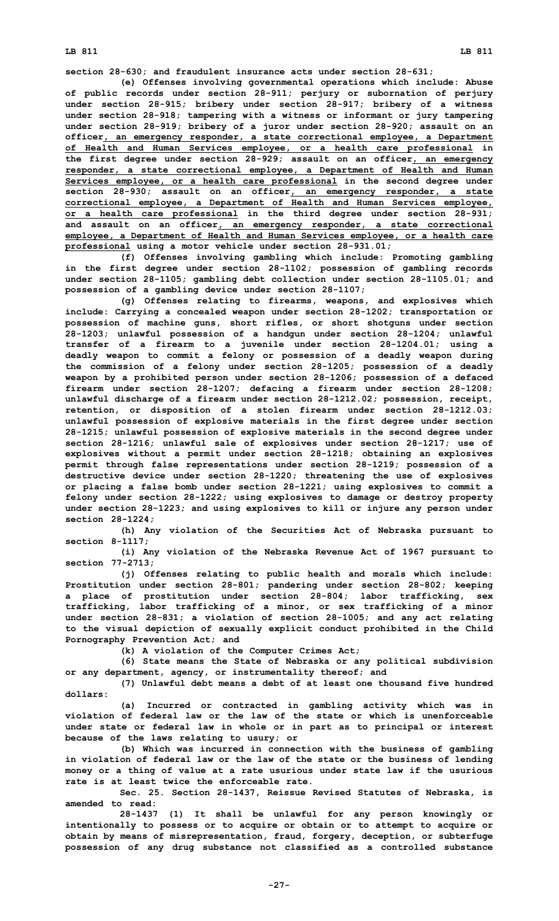**LB 811 LB 811**

**section 28-630; and fraudulent insurance acts under section 28-631;**

**(e) Offenses involving governmental operations which include: Abuse of public records under section 28-911; perjury or subornation of perjury under section 28-915; bribery under section 28-917; bribery of <sup>a</sup> witness under section 28-918; tampering with <sup>a</sup> witness or informant or jury tampering under section 28-919; bribery of <sup>a</sup> juror under section 28-920; assault on an officer, an emergency responder, <sup>a</sup> state correctional employee, <sup>a</sup> Department of Health and Human Services employee, or <sup>a</sup> health care professional in the first degree under section 28-929; assault on an officer, an emergency responder, <sup>a</sup> state correctional employee, <sup>a</sup> Department of Health and Human Services employee, or <sup>a</sup> health care professional in the second degree under section 28-930; assault on an officer, an emergency responder, <sup>a</sup> state correctional employee, <sup>a</sup> Department of Health and Human Services employee, or <sup>a</sup> health care professional in the third degree under section 28-931; and assault on an officer, an emergency responder, <sup>a</sup> state correctional employee, <sup>a</sup> Department of Health and Human Services employee, or <sup>a</sup> health care professional using <sup>a</sup> motor vehicle under section 28-931.01;**

**(f) Offenses involving gambling which include: Promoting gambling in the first degree under section 28-1102; possession of gambling records under section 28-1105; gambling debt collection under section 28-1105.01; and possession of <sup>a</sup> gambling device under section 28-1107;**

**(g) Offenses relating to firearms, weapons, and explosives which include: Carrying <sup>a</sup> concealed weapon under section 28-1202; transportation or possession of machine guns, short rifles, or short shotguns under section 28-1203; unlawful possession of <sup>a</sup> handgun under section 28-1204; unlawful transfer of <sup>a</sup> firearm to <sup>a</sup> juvenile under section 28-1204.01; using <sup>a</sup> deadly weapon to commit <sup>a</sup> felony or possession of <sup>a</sup> deadly weapon during the commission of <sup>a</sup> felony under section 28-1205; possession of <sup>a</sup> deadly weapon by <sup>a</sup> prohibited person under section 28-1206; possession of <sup>a</sup> defaced firearm under section 28-1207; defacing <sup>a</sup> firearm under section 28-1208; unlawful discharge of <sup>a</sup> firearm under section 28-1212.02; possession, receipt, retention, or disposition of <sup>a</sup> stolen firearm under section 28-1212.03; unlawful possession of explosive materials in the first degree under section 28-1215; unlawful possession of explosive materials in the second degree under section 28-1216; unlawful sale of explosives under section 28-1217; use of explosives without <sup>a</sup> permit under section 28-1218; obtaining an explosives permit through false representations under section 28-1219; possession of <sup>a</sup> destructive device under section 28-1220; threatening the use of explosives or placing <sup>a</sup> false bomb under section 28-1221; using explosives to commit <sup>a</sup> felony under section 28-1222; using explosives to damage or destroy property under section 28-1223; and using explosives to kill or injure any person under section 28-1224;**

**(h) Any violation of the Securities Act of Nebraska pursuant to section 8-1117;**

**(i) Any violation of the Nebraska Revenue Act of 1967 pursuant to section 77-2713;**

**(j) Offenses relating to public health and morals which include: Prostitution under section 28-801; pandering under section 28-802; keeping <sup>a</sup> place of prostitution under section 28-804; labor trafficking, sex trafficking, labor trafficking of <sup>a</sup> minor, or sex trafficking of <sup>a</sup> minor under section 28-831; <sup>a</sup> violation of section 28-1005; and any act relating to the visual depiction of sexually explicit conduct prohibited in the Child Pornography Prevention Act; and**

**(k) <sup>A</sup> violation of the Computer Crimes Act;**

**(6) State means the State of Nebraska or any political subdivision or any department, agency, or instrumentality thereof; and**

**(7) Unlawful debt means <sup>a</sup> debt of at least one thousand five hundred dollars:**

**(a) Incurred or contracted in gambling activity which was in violation of federal law or the law of the state or which is unenforceable under state or federal law in whole or in part as to principal or interest because of the laws relating to usury; or**

**(b) Which was incurred in connection with the business of gambling in violation of federal law or the law of the state or the business of lending money or <sup>a</sup> thing of value at <sup>a</sup> rate usurious under state law if the usurious rate is at least twice the enforceable rate.**

**Sec. 25. Section 28-1437, Reissue Revised Statutes of Nebraska, is amended to read:**

**28-1437 (1) It shall be unlawful for any person knowingly or intentionally to possess or to acquire or obtain or to attempt to acquire or obtain by means of misrepresentation, fraud, forgery, deception, or subterfuge possession of any drug substance not classified as <sup>a</sup> controlled substance**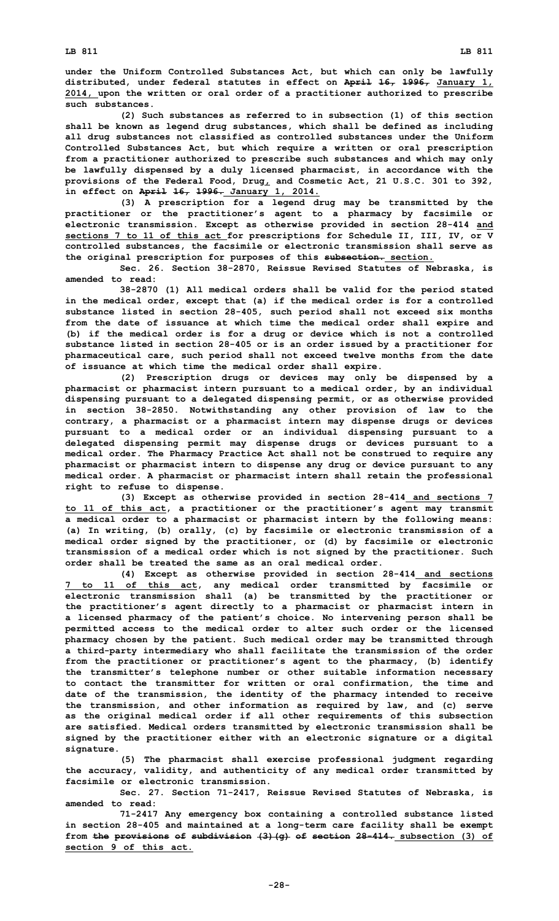**under the Uniform Controlled Substances Act, but which can only be lawfully distributed, under federal statutes in effect on April 16, 1996, January 1, 2014, upon the written or oral order of <sup>a</sup> practitioner authorized to prescribe such substances.**

**(2) Such substances as referred to in subsection (1) of this section shall be known as legend drug substances, which shall be defined as including all drug substances not classified as controlled substances under the Uniform Controlled Substances Act, but which require <sup>a</sup> written or oral prescription from <sup>a</sup> practitioner authorized to prescribe such substances and which may only be lawfully dispensed by <sup>a</sup> duly licensed pharmacist, in accordance with the provisions of the Federal Food, Drug, and Cosmetic Act, 21 U.S.C. 301 to 392, in effect on April 16, 1996. January 1, 2014.**

**(3) <sup>A</sup> prescription for <sup>a</sup> legend drug may be transmitted by the practitioner or the practitioner's agent to <sup>a</sup> pharmacy by facsimile or electronic transmission. Except as otherwise provided in section 28-414 and sections 7 to 11 of this act for prescriptions for Schedule II, III, IV, or <sup>V</sup> controlled substances, the facsimile or electronic transmission shall serve as the original prescription for purposes of this subsection. section.**

**Sec. 26. Section 38-2870, Reissue Revised Statutes of Nebraska, is amended to read:**

**38-2870 (1) All medical orders shall be valid for the period stated in the medical order, except that (a) if the medical order is for <sup>a</sup> controlled substance listed in section 28-405, such period shall not exceed six months from the date of issuance at which time the medical order shall expire and (b) if the medical order is for <sup>a</sup> drug or device which is not <sup>a</sup> controlled substance listed in section 28-405 or is an order issued by <sup>a</sup> practitioner for pharmaceutical care, such period shall not exceed twelve months from the date of issuance at which time the medical order shall expire.**

**(2) Prescription drugs or devices may only be dispensed by <sup>a</sup> pharmacist or pharmacist intern pursuant to <sup>a</sup> medical order, by an individual dispensing pursuant to <sup>a</sup> delegated dispensing permit, or as otherwise provided in section 38-2850. Notwithstanding any other provision of law to the contrary, <sup>a</sup> pharmacist or <sup>a</sup> pharmacist intern may dispense drugs or devices pursuant to <sup>a</sup> medical order or an individual dispensing pursuant to <sup>a</sup> delegated dispensing permit may dispense drugs or devices pursuant to <sup>a</sup> medical order. The Pharmacy Practice Act shall not be construed to require any pharmacist or pharmacist intern to dispense any drug or device pursuant to any medical order. A pharmacist or pharmacist intern shall retain the professional right to refuse to dispense.**

**(3) Except as otherwise provided in section 28-414 and sections 7 to 11 of this act, <sup>a</sup> practitioner or the practitioner's agent may transmit <sup>a</sup> medical order to <sup>a</sup> pharmacist or pharmacist intern by the following means: (a) In writing, (b) orally, (c) by facsimile or electronic transmission of <sup>a</sup> medical order signed by the practitioner, or (d) by facsimile or electronic transmission of <sup>a</sup> medical order which is not signed by the practitioner. Such order shall be treated the same as an oral medical order.**

**(4) Except as otherwise provided in section 28-414 and sections 7 to 11 of this act, any medical order transmitted by facsimile or electronic transmission shall (a) be transmitted by the practitioner or the practitioner's agent directly to <sup>a</sup> pharmacist or pharmacist intern in <sup>a</sup> licensed pharmacy of the patient's choice. No intervening person shall be permitted access to the medical order to alter such order or the licensed pharmacy chosen by the patient. Such medical order may be transmitted through <sup>a</sup> third-party intermediary who shall facilitate the transmission of the order from the practitioner or practitioner's agent to the pharmacy, (b) identify the transmitter's telephone number or other suitable information necessary to contact the transmitter for written or oral confirmation, the time and date of the transmission, the identity of the pharmacy intended to receive the transmission, and other information as required by law, and (c) serve as the original medical order if all other requirements of this subsection are satisfied. Medical orders transmitted by electronic transmission shall be signed by the practitioner either with an electronic signature or <sup>a</sup> digital signature.**

**(5) The pharmacist shall exercise professional judgment regarding the accuracy, validity, and authenticity of any medical order transmitted by facsimile or electronic transmission.**

**Sec. 27. Section 71-2417, Reissue Revised Statutes of Nebraska, is amended to read:**

**71-2417 Any emergency box containing <sup>a</sup> controlled substance listed in section 28-405 and maintained at <sup>a</sup> long-term care facility shall be exempt from the provisions of subdivision (3)(g) of section 28-414. subsection (3) of section 9 of this act.**